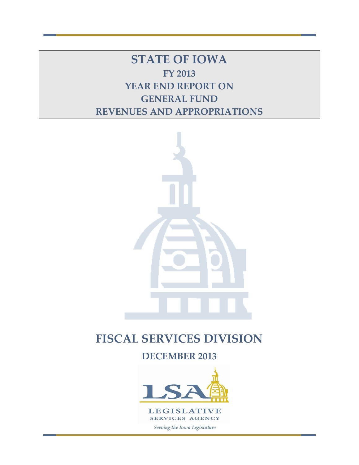**STATE OF IOWA FY 2013 YEAR END REPORT ON GENERAL FUND REVENUES AND APPROPRIATIONS**



# **FISCAL SERVICES DIVISION**

**DECEMBER 2013**

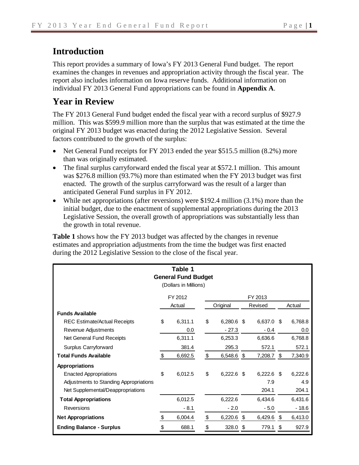# **Introduction**

This report provides a summary of Iowa's FY 2013 General Fund budget. The report examines the changes in revenues and appropriation activity through the fiscal year. The report also includes information on Iowa reserve funds. Additional information on individual FY 2013 General Fund appropriations can be found in **Appendix A**.

# **Year in Review**

The FY 2013 General Fund budget ended the fiscal year with a record surplus of \$927.9 million. This was \$599.9 million more than the surplus that was estimated at the time the original FY 2013 budget was enacted during the 2012 Legislative Session. Several factors contributed to the growth of the surplus:

- Net General Fund receipts for FY 2013 ended the year \$515.5 million (8.2%) more than was originally estimated.
- The final surplus carryforward ended the fiscal year at \$572.1 million. This amount was \$276.8 million (93.7%) more than estimated when the FY 2013 budget was first enacted. The growth of the surplus carryforward was the result of a larger than anticipated General Fund surplus in FY 2012.
- While net appropriations (after reversions) were \$192.4 million (3.1%) more than the initial budget, due to the enactment of supplemental appropriations during the 2013 Legislative Session, the overall growth of appropriations was substantially less than the growth in total revenue.

**Table 1** shows how the FY 2013 budget was affected by the changes in revenue estimates and appropriation adjustments from the time the budget was first enacted during the 2012 Legislative Session to the close of the fiscal year.

| Table 1<br><b>General Fund Budget</b><br>(Dollars in Millions) |    |         |    |              |    |              |    |         |  |  |  |  |
|----------------------------------------------------------------|----|---------|----|--------------|----|--------------|----|---------|--|--|--|--|
| FY 2012<br>FY 2013                                             |    |         |    |              |    |              |    |         |  |  |  |  |
|                                                                |    | Actual  |    | Original     |    | Revised      |    | Actual  |  |  |  |  |
| <b>Funds Available</b>                                         |    |         |    |              |    |              |    |         |  |  |  |  |
| <b>REC Estimate/Actual Receipts</b>                            | \$ | 6,311.1 | \$ | 6,280.6 \$   |    | 6,637.0 \$   |    | 6,768.8 |  |  |  |  |
| Revenue Adjustments                                            |    | 0.0     |    | $-27.3$      |    | $-0.4$       |    | 0.0     |  |  |  |  |
| Net General Fund Receipts                                      |    | 6,311.1 |    | 6,253.3      |    | 6,636.6      |    | 6,768.8 |  |  |  |  |
| Surplus Carryforward                                           |    | 381.4   |    | 295.3        |    | 572.1        |    | 572.1   |  |  |  |  |
| <b>Total Funds Available</b>                                   | \$ | 6,692.5 | \$ | 6,548.6 \$   |    | 7,208.7 \$   |    | 7,340.9 |  |  |  |  |
| <b>Appropriations</b>                                          |    |         |    |              |    |              |    |         |  |  |  |  |
| <b>Enacted Appropriations</b>                                  | \$ | 6,012.5 | \$ | $6,222.6$ \$ |    | $6,222.6$ \$ |    | 6,222.6 |  |  |  |  |
| Adjustments to Standing Appropriations                         |    |         |    |              |    | 7.9          |    | 4.9     |  |  |  |  |
| Net Supplemental/Deappropriations                              |    |         |    |              |    | 204.1        |    | 204.1   |  |  |  |  |
| <b>Total Appropriations</b>                                    |    | 6,012.5 |    | 6,222.6      |    | 6,434.6      |    | 6,431.6 |  |  |  |  |
| Reversions                                                     |    | $-8.1$  |    | $-2.0$       |    | $-5.0$       |    | $-18.6$ |  |  |  |  |
| <b>Net Appropriations</b>                                      | \$ | 6,004.4 | \$ | 6,220.6 \$   |    | $6,429.6$ \$ |    | 6,413.0 |  |  |  |  |
| <b>Ending Balance - Surplus</b>                                | \$ | 688.1   | \$ | 328.0        | \$ | 779.1        | \$ | 927.9   |  |  |  |  |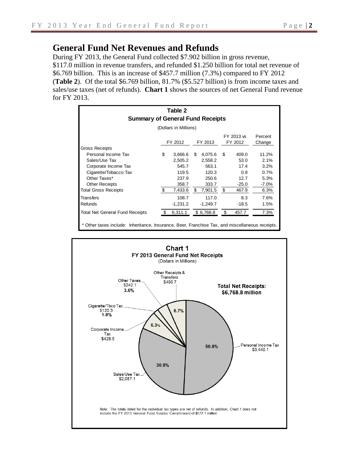## **General Fund Net Revenues and Refunds**

During FY 2013, the General Fund collected \$7.902 billion in gross revenue, \$117.0 million in revenue transfers, and refunded \$1.250 billion for total net revenue of \$6.769 billion. This is an increase of \$457.7 million (7.3%) compared to FY 2012 (**Table 2**). Of the total \$6.769 billion, 81.7% (\$5.527 billion) is from income taxes and sales/use taxes (net of refunds). **Chart 1** shows the sources of net General Fund revenue for FY 2013.

|                                                                                               | Table 2<br><b>Summary of General Fund Receipts</b> |            |    |            |    |         |          |  |  |  |  |  |  |
|-----------------------------------------------------------------------------------------------|----------------------------------------------------|------------|----|------------|----|---------|----------|--|--|--|--|--|--|
| (Dollars in Millions)                                                                         |                                                    |            |    |            |    |         |          |  |  |  |  |  |  |
| FY 2013 vs<br>Percent<br>FY 2012<br>FY 2012<br>FY 2013<br>Change                              |                                                    |            |    |            |    |         |          |  |  |  |  |  |  |
| <b>Gross Receipts</b>                                                                         |                                                    |            |    |            |    |         |          |  |  |  |  |  |  |
| Personal Income Tax                                                                           | \$                                                 | 3,666.6    | \$ | 4,075.6    | \$ | 409.0   | 11.2%    |  |  |  |  |  |  |
| Sales/Use Tax                                                                                 |                                                    | 2,505.2    |    | 2,558.2    |    | 53.0    | 2.1%     |  |  |  |  |  |  |
| Corporate Income Tax                                                                          |                                                    | 545.7      |    | 563.1      |    | 17.4    | 3.2%     |  |  |  |  |  |  |
| Cigarette/Tobacco Tax                                                                         |                                                    | 119.5      |    | 120.3      |    | 0.8     | 0.7%     |  |  |  |  |  |  |
| Other Taxes*                                                                                  |                                                    | 237.9      |    | 250.6      |    | 12.7    | 5.3%     |  |  |  |  |  |  |
| <b>Other Receipts</b>                                                                         |                                                    | 358.7      |    | 333.7      |    | $-25.0$ | $-7.0\%$ |  |  |  |  |  |  |
| <b>Total Gross Receipts</b>                                                                   | \$                                                 | 7,433.6    | \$ | 7,901.5    | \$ | 467.9   | 6.3%     |  |  |  |  |  |  |
| Transfers                                                                                     |                                                    | 108.7      |    | 117.0      |    | 8.3     | 7.6%     |  |  |  |  |  |  |
| Refunds                                                                                       |                                                    | $-1,231.2$ |    | $-1,249.7$ |    | $-18.5$ | 1.5%     |  |  |  |  |  |  |
| <b>Total Net General Fund Receipts</b>                                                        | S                                                  | 6,311.1    |    | \$6,768.8  | \$ | 457.7   | 7.3%     |  |  |  |  |  |  |
| Other taxes include: Inheritance, Insurance, Beer, Franchise Tax, and miscellaneous receipts. |                                                    |            |    |            |    |         |          |  |  |  |  |  |  |

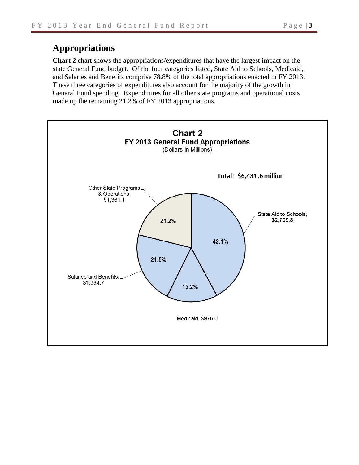## **Appropriations**

**Chart 2** chart shows the appropriations/expenditures that have the largest impact on the state General Fund budget. Of the four categories listed, State Aid to Schools, Medicaid, and Salaries and Benefits comprise 78.8% of the total appropriations enacted in FY 2013. These three categories of expenditures also account for the majority of the growth in General Fund spending. Expenditures for all other state programs and operational costs made up the remaining 21.2% of FY 2013 appropriations.

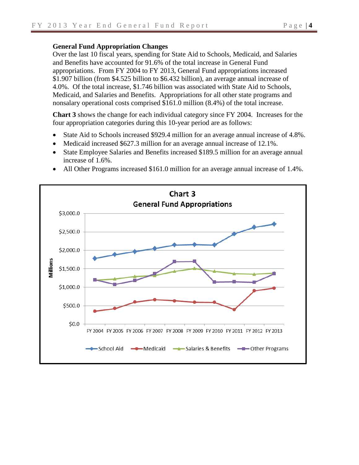### **General Fund Appropriation Changes**

Over the last 10 fiscal years, spending for State Aid to Schools, Medicaid, and Salaries and Benefits have accounted for 91.6% of the total increase in General Fund appropriations. From FY 2004 to FY 2013, General Fund appropriations increased \$1.907 billion (from \$4.525 billion to \$6.432 billion), an average annual increase of 4.0%. Of the total increase, \$1.746 billion was associated with State Aid to Schools, Medicaid, and Salaries and Benefits. Appropriations for all other state programs and nonsalary operational costs comprised \$161.0 million (8.4%) of the total increase.

**Chart 3** shows the change for each individual category since FY 2004. Increases for the four appropriation categories during this 10-year period are as follows:

- State Aid to Schools increased \$929.4 million for an average annual increase of 4.8%.
- Medicaid increased \$627.3 million for an average annual increase of 12.1%.
- State Employee Salaries and Benefits increased \$189.5 million for an average annual increase of 1.6%.
- All Other Programs increased \$161.0 million for an average annual increase of 1.4%.

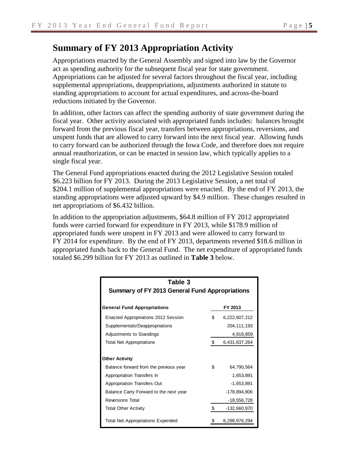# **Summary of FY 2013 Appropriation Activity**

Appropriations enacted by the General Assembly and signed into law by the Governor act as spending authority for the subsequent fiscal year for state government. Appropriations can be adjusted for several factors throughout the fiscal year, including supplemental appropriations, deappropriations, adjustments authorized in statute to standing appropriations to account for actual expenditures, and across-the-board reductions initiated by the Governor.

In addition, other factors can affect the spending authority of state government during the fiscal year. Other activity associated with appropriated funds includes: balances brought forward from the previous fiscal year, transfers between appropriations, reversions, and unspent funds that are allowed to carry forward into the next fiscal year. Allowing funds to carry forward can be authorized through the Iowa Code, and therefore does not require annual reauthorization, or can be enacted in session law, which typically applies to a single fiscal year.

The General Fund appropriations enacted during the 2012 Legislative Session totaled \$6.223 billion for FY 2013. During the 2013 Legislative Session, a net total of \$204.1 million of supplemental appropriations were enacted. By the end of FY 2013, the standing appropriations were adjusted upward by \$4.9 million. These changes resulted in net appropriations of \$6.432 billion.

In addition to the appropriation adjustments, \$64.8 million of FY 2012 appropriated funds were carried forward for expenditure in FY 2013, while \$178.9 million of appropriated funds were unspent in FY 2013 and were allowed to carry forward to FY 2014 for expenditure. By the end of FY 2013, departments reverted \$18.6 million in appropriated funds back to the General Fund. The net expenditure of appropriated funds totaled \$6.299 billion for FY 2013 as outlined in **Table 3** below.

| Table 3                                               |    |               |  |  |  |  |  |  |
|-------------------------------------------------------|----|---------------|--|--|--|--|--|--|
| <b>Summary of FY 2013 General Fund Appropriations</b> |    |               |  |  |  |  |  |  |
|                                                       |    |               |  |  |  |  |  |  |
| <b>General Fund Appropriations</b>                    |    | FY 2013       |  |  |  |  |  |  |
| Enacted Appropriations 2012 Session                   | \$ | 6,222,607,212 |  |  |  |  |  |  |
| Supplementals/Deappropriations                        |    | 204, 111, 193 |  |  |  |  |  |  |
| Adjustments to Standings                              |    | 4,918,859     |  |  |  |  |  |  |
| <b>Total Net Appropriations</b>                       | \$ | 6,431,637,264 |  |  |  |  |  |  |
|                                                       |    |               |  |  |  |  |  |  |
| <b>Other Activity</b>                                 |    |               |  |  |  |  |  |  |
| Balance forward from the previous year                | \$ | 64.790.564    |  |  |  |  |  |  |
| Appropriation Transfers In                            |    | 1,653,891     |  |  |  |  |  |  |
| Appropriation Transfers Out                           |    | $-1,653,891$  |  |  |  |  |  |  |
| Balance Carry Forward to the next year                |    | -178,894,806  |  |  |  |  |  |  |
| <b>Reversions Total</b>                               |    | $-18,556,728$ |  |  |  |  |  |  |
| <b>Total Other Activity</b>                           | \$ | -132,660,970  |  |  |  |  |  |  |
| <b>Total Net Appropriations Expended</b>              |    | 6,298,976,294 |  |  |  |  |  |  |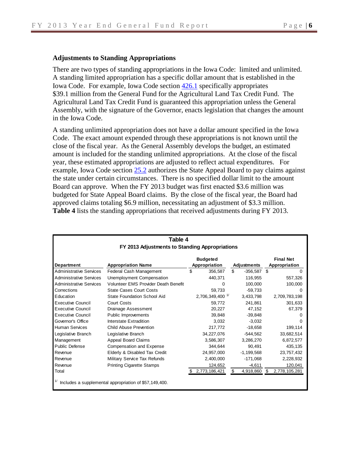### **Adjustments to Standing Appropriations**

There are two types of standing appropriations in the Iowa Code: limited and unlimited. A standing limited appropriation has a specific dollar amount that is established in the Iowa Code. For example, Iowa Code section [426.1](https://www.legis.iowa.gov/docs/ico/section/2013/426.1.pdf) specifically appropriates \$39.1 million from the General Fund for the Agricultural Land Tax Credit Fund. The Agricultural Land Tax Credit Fund is guaranteed this appropriation unless the General Assembly, with the signature of the Governor, enacts legislation that changes the amount in the Iowa Code.

A standing unlimited appropriation does not have a dollar amount specified in the Iowa Code. The exact amount expended through these appropriations is not known until the close of the fiscal year. As the General Assembly develops the budget, an estimated amount is included for the standing unlimited appropriations. At the close of the fiscal year, these estimated appropriations are adjusted to reflect actual expenditures. For example, Iowa Code section [25.2](https://www.legis.iowa.gov/docs/ico/section/2013/25.2.pdf) authorizes the State Appeal Board to pay claims against the state under certain circumstances. There is no specified dollar limit to the amount Board can approve. When the FY 2013 budget was first enacted \$3.6 million was budgeted for State Appeal Board claims. By the close of the fiscal year, the Board had approved claims totaling \$6.9 million, necessitating an adjustment of \$3.3 million. **Table 4** lists the standing appropriations that received adjustments during FY 2013.

| Table 4                        |                                                        |    |                        |    |              |               |                  |  |  |  |  |
|--------------------------------|--------------------------------------------------------|----|------------------------|----|--------------|---------------|------------------|--|--|--|--|
|                                | FY 2013 Adjustments to Standing Appropriations         |    |                        |    |              |               |                  |  |  |  |  |
|                                |                                                        |    | <b>Budgeted</b>        |    |              |               | <b>Final Net</b> |  |  |  |  |
| <b>Department</b>              | <b>Appropriation Name</b>                              |    | Appropriation          |    | Adjustments  | Appropriation |                  |  |  |  |  |
| <b>Administrative Services</b> | Federal Cash Management                                | \$ | 356,587                | \$ | -356,587     | -\$           |                  |  |  |  |  |
| <b>Administrative Services</b> | Unemployment Compensation                              |    | 440,371                |    | 116.955      |               | 557.326          |  |  |  |  |
| <b>Administrative Services</b> | Volunteer EMS Provider Death Benefit                   |    | 0                      |    | 100,000      |               | 100,000          |  |  |  |  |
| Corrections                    | <b>State Cases Court Costs</b>                         |    | 59.733                 |    | $-59,733$    |               |                  |  |  |  |  |
| Education                      | State Foundation School Aid                            |    | 2,706,349,400 $^{1/2}$ |    | 3,433,798    |               | 2.709.783.198    |  |  |  |  |
| <b>Executive Council</b>       | <b>Court Costs</b>                                     |    | 59,772                 |    | 241,861      |               | 301,633          |  |  |  |  |
| <b>Executive Council</b>       | Drainage Assessment                                    |    | 20,227                 |    | 47,152       |               | 67,379           |  |  |  |  |
| <b>Executive Council</b>       | Public Improvements                                    |    | 39,848                 |    | $-39,848$    |               |                  |  |  |  |  |
| Governor's Office              | Interstate Extradition                                 |    | 3.032                  |    | $-3.032$     |               | O                |  |  |  |  |
| <b>Human Services</b>          | Child Abuse Prevention                                 |    | 217,772                |    | $-18.658$    |               | 199,114          |  |  |  |  |
| Legislative Branch             | Legislative Branch                                     |    | 34.227.076             |    | $-544.562$   |               | 33,682,514       |  |  |  |  |
| Management                     | Appeal Board Claims                                    |    | 3,586,307              |    | 3,286,270    |               | 6,872,577        |  |  |  |  |
| <b>Public Defense</b>          | Compensation and Expense                               |    | 344.644                |    | 90.491       |               | 435,135          |  |  |  |  |
| Revenue                        | Elderly & Disabled Tax Credit                          |    | 24,957,000             |    | $-1.199.568$ |               | 23,757,432       |  |  |  |  |
| Revenue                        | Military Service Tax Refunds                           |    | 2,400,000              |    | $-171,068$   |               | 2,228,932        |  |  |  |  |
| Revenue                        | <b>Printing Cigarette Stamps</b>                       |    | 124,652                |    | $-4,611$     |               | 120,041          |  |  |  |  |
| Total                          |                                                        |    | \$ 2,773,186,421       | S  | 4,918,860    | \$.           | 2,778,105,281    |  |  |  |  |
|                                | Includes a supplemental appropriation of \$57,149,400. |    |                        |    |              |               |                  |  |  |  |  |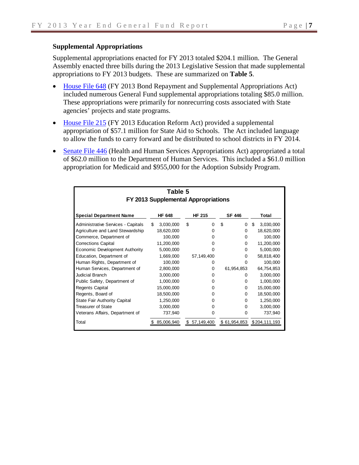### **Supplemental Appropriations**

Supplemental appropriations enacted for FY 2013 totaled \$204.1 million. The General Assembly enacted three bills during the 2013 Legislative Session that made supplemental appropriations to FY 2013 budgets. These are summarized on **Table 5**.

- [House File](http://coolice.legis.iowa.gov/Cool-ICE/default.asp?Category=billinfo&Service=Billbook&menu=false&hbill=HF648&ga=85) 648 (FY 2013 Bond Repayment and Supplemental Appropriations Act) included numerous General Fund supplemental appropriations totaling \$85.0 million. These appropriations were primarily for nonrecurring costs associated with State agencies' projects and state programs.
- [House File 215](http://coolice.legis.iowa.gov/Cool-ICE/default.asp?Category=billinfo&Service=Billbook&menu=false&ga=85&hbill=HF215) (FY 2013 Education Reform Act) provided a supplemental appropriation of \$57.1 million for State Aid to Schools. The Act included language to allow the funds to carry forward and be distributed to school districts in FY 2014.
- [Senate File 446](http://coolice.legis.iowa.gov/Cool-ICE/default.asp?Category=billinfo&Service=Billbook&menu=false&ga=85&hbill=SF446) (Health and Human Services Appropriations Act) appropriated a total of \$62.0 million to the Department of Human Services. This included a \$61.0 million appropriation for Medicaid and \$955,000 for the Adoption Subsidy Program.

|                                           | Table 5                             |                  |                |                 |  |  |  |  |  |  |  |  |  |  |  |
|-------------------------------------------|-------------------------------------|------------------|----------------|-----------------|--|--|--|--|--|--|--|--|--|--|--|
|                                           | FY 2013 Supplemental Appropriations |                  |                |                 |  |  |  |  |  |  |  |  |  |  |  |
| <b>Special Department Name</b>            | <b>HF 648</b>                       | <b>HF 215</b>    | <b>SF 446</b>  | Total           |  |  |  |  |  |  |  |  |  |  |  |
| <b>Administrative Services - Capitals</b> | \$<br>3,030,000                     | \$<br>$\Omega$   | \$<br>$\Omega$ | \$<br>3,030,000 |  |  |  |  |  |  |  |  |  |  |  |
| Agriculture and Land Stewardship          | 18,620,000                          | O)               | $\Omega$       | 18,620,000      |  |  |  |  |  |  |  |  |  |  |  |
| Commerce, Department of                   | 100,000                             | n                | $\Omega$       | 100,000         |  |  |  |  |  |  |  |  |  |  |  |
| <b>Corrections Capital</b>                | 11,200,000                          | 0                | 0              | 11,200,000      |  |  |  |  |  |  |  |  |  |  |  |
| Economic Development Authority            | 5,000,000                           |                  | $\Omega$       | 5,000,000       |  |  |  |  |  |  |  |  |  |  |  |
| Education, Department of                  | 1,669,000                           | 57,149,400       | $\Omega$       | 58,818,400      |  |  |  |  |  |  |  |  |  |  |  |
| Human Rights, Department of               | 100,000                             | $\Omega$         | 0              | 100,000         |  |  |  |  |  |  |  |  |  |  |  |
| Human Services, Department of             | 2,800,000                           | 0                | 61,954,853     | 64,754,853      |  |  |  |  |  |  |  |  |  |  |  |
| Judicial Branch                           | 3,000,000                           | 0                | 0              | 3,000,000       |  |  |  |  |  |  |  |  |  |  |  |
| Public Safety, Department of              | 1,000,000                           | 0                | $\Omega$       | 1,000,000       |  |  |  |  |  |  |  |  |  |  |  |
| <b>Regents Capital</b>                    | 15,000,000                          | 0                | $\Omega$       | 15,000,000      |  |  |  |  |  |  |  |  |  |  |  |
| Regents, Board of                         | 18,500,000                          | 0                | $\Omega$       | 18,500,000      |  |  |  |  |  |  |  |  |  |  |  |
| <b>State Fair Authority Capital</b>       | 1,250,000                           |                  | $\Omega$       | 1,250,000       |  |  |  |  |  |  |  |  |  |  |  |
| <b>Treasurer of State</b>                 | 3,000,000                           |                  | 0              | 3,000,000       |  |  |  |  |  |  |  |  |  |  |  |
| Veterans Affairs, Department of           | 737,940                             | 0                | $\Omega$       | 737,940         |  |  |  |  |  |  |  |  |  |  |  |
| Total                                     | 85,006,940                          | \$<br>57,149,400 | \$61,954,853   | \$204,111,193   |  |  |  |  |  |  |  |  |  |  |  |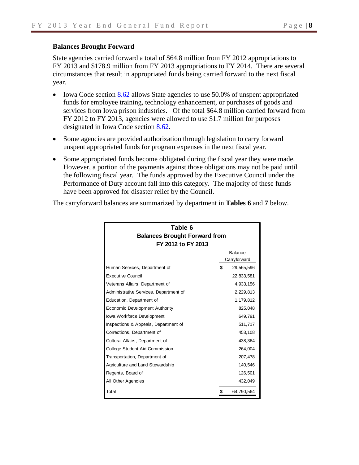### **Balances Brought Forward**

State agencies carried forward a total of \$64.8 million from FY 2012 appropriations to FY 2013 and \$178.9 million from FY 2013 appropriations to FY 2014. There are several circumstances that result in appropriated funds being carried forward to the next fiscal year.

- Iowa Code section  $8.62$  allows State agencies to use 50.0% of unspent appropriated funds for employee training, technology enhancement, or purchases of goods and services from Iowa prison industries. Of the total \$64.8 million carried forward from FY 2012 to FY 2013, agencies were allowed to use \$1.7 million for purposes designated in Iowa Code section [8.62.](https://www.legis.iowa.gov/docs/ico/section/2013/8.62.pdf)
- Some agencies are provided authorization through legislation to carry forward unspent appropriated funds for program expenses in the next fiscal year.
- Some appropriated funds become obligated during the fiscal year they were made. However, a portion of the payments against those obligations may not be paid until the following fiscal year. The funds approved by the Executive Council under the Performance of Duty account fall into this category. The majority of these funds have been approved for disaster relief by the Council.

| Table 6                                |                                      |              |  |  |  |  |  |  |  |  |
|----------------------------------------|--------------------------------------|--------------|--|--|--|--|--|--|--|--|
|                                        | <b>Balances Brought Forward from</b> |              |  |  |  |  |  |  |  |  |
| FY 2012 to FY 2013                     |                                      |              |  |  |  |  |  |  |  |  |
| <b>Balance</b>                         |                                      |              |  |  |  |  |  |  |  |  |
|                                        |                                      | Carryforward |  |  |  |  |  |  |  |  |
| Human Services, Department of          | \$                                   | 29,565,596   |  |  |  |  |  |  |  |  |
| <b>Executive Council</b>               |                                      | 22,833,581   |  |  |  |  |  |  |  |  |
| Veterans Affairs, Department of        |                                      | 4,933,156    |  |  |  |  |  |  |  |  |
| Administrative Services, Department of |                                      | 2,229,813    |  |  |  |  |  |  |  |  |
| Education, Department of               |                                      | 1,179,812    |  |  |  |  |  |  |  |  |
| Economic Development Authority         |                                      | 825,048      |  |  |  |  |  |  |  |  |
| Iowa Workforce Development             |                                      | 649,791      |  |  |  |  |  |  |  |  |
| Inspections & Appeals, Department of   |                                      | 511,717      |  |  |  |  |  |  |  |  |
| Corrections, Department of             |                                      | 453,108      |  |  |  |  |  |  |  |  |
| Cultural Affairs, Department of        |                                      | 438,364      |  |  |  |  |  |  |  |  |
| <b>College Student Aid Commission</b>  |                                      | 264,004      |  |  |  |  |  |  |  |  |
| Transportation, Department of          |                                      | 207,478      |  |  |  |  |  |  |  |  |
| Agriculture and Land Stewardship       |                                      | 140,546      |  |  |  |  |  |  |  |  |
| Regents, Board of                      |                                      | 126,501      |  |  |  |  |  |  |  |  |
| All Other Agencies                     |                                      | 432,049      |  |  |  |  |  |  |  |  |
| Total                                  | \$                                   | 64,790,564   |  |  |  |  |  |  |  |  |

The carryforward balances are summarized by department in **Tables 6** and **7** below.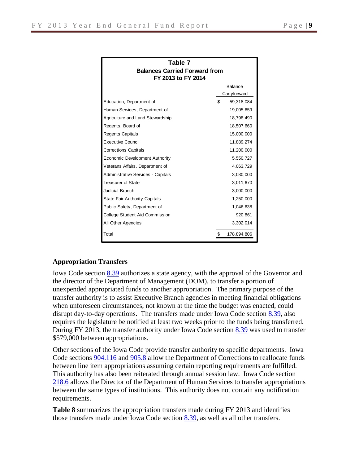| Table 7                                                    |    |             |  |  |  |  |  |  |  |
|------------------------------------------------------------|----|-------------|--|--|--|--|--|--|--|
| <b>Balances Carried Forward from</b><br>FY 2013 to FY 2014 |    |             |  |  |  |  |  |  |  |
| <b>Balance</b>                                             |    |             |  |  |  |  |  |  |  |
| Carryforward                                               |    |             |  |  |  |  |  |  |  |
| Education, Department of                                   | \$ | 59,318,084  |  |  |  |  |  |  |  |
| Human Services, Department of                              |    | 19,005,659  |  |  |  |  |  |  |  |
| Agriculture and Land Stewardship                           |    | 18,798,490  |  |  |  |  |  |  |  |
| Regents, Board of                                          |    | 18,507,660  |  |  |  |  |  |  |  |
| <b>Regents Capitals</b>                                    |    | 15,000,000  |  |  |  |  |  |  |  |
| <b>Executive Council</b>                                   |    | 11,889,274  |  |  |  |  |  |  |  |
| <b>Corrections Capitals</b>                                |    | 11,200,000  |  |  |  |  |  |  |  |
| Economic Development Authority                             |    | 5,550,727   |  |  |  |  |  |  |  |
| Veterans Affairs, Department of                            |    | 4,063,729   |  |  |  |  |  |  |  |
| <b>Administrative Services - Capitals</b>                  |    | 3,030,000   |  |  |  |  |  |  |  |
| Treasurer of State                                         |    | 3,011,670   |  |  |  |  |  |  |  |
| <b>Judicial Branch</b>                                     |    | 3,000,000   |  |  |  |  |  |  |  |
| <b>State Fair Authority Capitals</b>                       |    | 1,250,000   |  |  |  |  |  |  |  |
| Public Safety, Department of                               |    | 1,046,638   |  |  |  |  |  |  |  |
| College Student Aid Commission                             |    | 920,861     |  |  |  |  |  |  |  |
| All Other Agencies                                         |    | 3,302,014   |  |  |  |  |  |  |  |
| Total                                                      | \$ | 178,894,806 |  |  |  |  |  |  |  |

### **Appropriation Transfers**

Iowa Code section [8.39](https://www.legis.iowa.gov/DOCS/ACO/IC/LINC/Section.8.39.pdf) authorizes a state agency, with the approval of the Governor and the director of the Department of Management (DOM), to transfer a portion of unexpended appropriated funds to another appropriation. The primary purpose of the transfer authority is to assist Executive Branch agencies in meeting financial obligations when unforeseen circumstances, not known at the time the budget was enacted, could disrupt day-to-day operations. The transfers made under Iowa Code section [8.39,](https://www.legis.iowa.gov/docs/ico/section/2013/8.39.pdf) also requires the legislature be notified at least two weeks prior to the funds being transferred. During FY 2013, the transfer authority under Iowa Code section [8.39](https://www.legis.iowa.gov/docs/ico/section/2013/8.39.pdf) was used to transfer \$579,000 between appropriations.

Other sections of the Iowa Code provide transfer authority to specific departments. Iowa Code sections [904.116](https://www.legis.iowa.gov/docs/ico/section/2013/904.I.116.pdf) and [905.8](https://www.legis.iowa.gov/docs/ico/section/2013/905.8.pdf) allow the Department of Corrections to reallocate funds between line item appropriations assuming certain reporting requirements are fulfilled. This authority has also been reiterated through annual session law. Iowa Code section [218.6](https://www.legis.iowa.gov/docs/ico/section/2013/218.6.pdf) allows the Director of the Department of Human Services to transfer appropriations between the same types of institutions. This authority does not contain any notification requirements.

**Table 8** summarizes the appropriation transfers made during FY 2013 and identifies those transfers made under Iowa Code section [8.39,](https://www.legis.iowa.gov/DOCS/ACO/IC/LINC/Section.8.39.pdf) as well as all other transfers.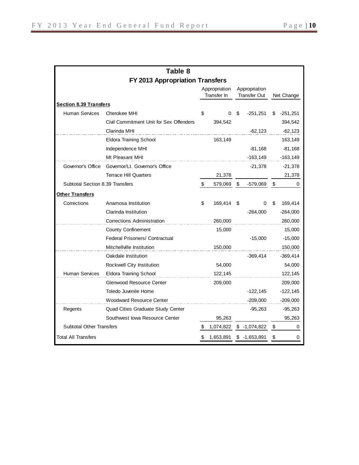|                                 | Table 8                                 |                              |           |                                      |                |      |             |
|---------------------------------|-----------------------------------------|------------------------------|-----------|--------------------------------------|----------------|------|-------------|
|                                 | FY 2013 Appropriation Transfers         |                              |           |                                      |                |      |             |
|                                 |                                         | Appropriation<br>Transfer In |           | Appropriation<br><b>Transfer Out</b> |                |      | Net Change  |
| <b>Section 8.39 Transfers</b>   |                                         |                              |           |                                      |                |      |             |
| <b>Human Services</b>           | Cherokee MHI                            | \$                           | 0         | S                                    | $-251,251$     | \$   | $-251,251$  |
|                                 | Civil Commitment Unit for Sex Offenders |                              | 394,542   |                                      |                |      | 394,542     |
|                                 | Clarinda MHI                            |                              |           |                                      | $-62, 123$     |      | $-62,123$   |
|                                 | Eldora Training School                  |                              | 163,149   |                                      |                |      | 163,149     |
|                                 | Independence MHI                        |                              |           |                                      | $-81,168$      |      | $-81,168$   |
|                                 | Mt Pleasant MHI                         |                              |           |                                      | $-163, 149$    |      | $-163, 149$ |
| Governor's Office               | Governor/Lt. Governor's Office          |                              |           |                                      | $-21,378$      |      | $-21,378$   |
|                                 | <b>Terrace Hill Quarters</b>            |                              | 21,378    |                                      |                |      | 21,378      |
| Subtotal Section 8.39 Transfers |                                         |                              | 579,069   | \$                                   | -579,069       | - \$ | 0           |
| <b>Other Transfers</b>          |                                         |                              |           |                                      |                |      |             |
| Corrections                     | Anamosa Institution                     | \$                           | 169,414   | S                                    | 0              | \$   | 169,414     |
|                                 | Clarinda Institution                    |                              |           |                                      | $-264,000$     |      | $-264,000$  |
|                                 | <b>Corrections Administration</b>       |                              | 260,000   |                                      |                |      | 260,000     |
|                                 | <b>County Confinement</b>               |                              | 15,000    |                                      |                |      | 15,000      |
|                                 | <b>Federal Prisoners/ Contractual</b>   |                              |           |                                      | $-15,000$      |      | $-15,000$   |
|                                 | Mitchellville Institution               |                              | 150,000   |                                      |                |      | 150,000     |
|                                 | Oakdale Institution                     |                              |           |                                      | $-369,414$     |      | $-369,414$  |
|                                 | Rockwell City Institution               |                              | 54,000    |                                      |                |      | 54,000      |
| <b>Human Services</b>           | <b>Eldora Training School</b>           |                              | 122,145   |                                      |                |      | 122,145     |
|                                 | Glenwood Resource Center                |                              | 209,000   |                                      |                |      | 209,000     |
|                                 | Toledo Juvenile Home                    |                              |           |                                      | $-122, 145$    |      | $-122, 145$ |
|                                 | <b>Woodward Resource Center</b>         |                              |           |                                      | $-209,000$     |      | $-209,000$  |
| Regents                         | Quad Cities Graduate Study Center       |                              |           |                                      | $-95,263$      |      | $-95,263$   |
|                                 | Southwest Iowa Resource Center          |                              | 95,263    |                                      |                |      | 95,263      |
| <b>Subtotal Other Transfers</b> |                                         |                              | 1,074,822 |                                      | $$ -1,074,822$ | \$   | 0           |
| <b>Total All Transfers</b>      |                                         |                              | 1,653,891 |                                      | $$-1,653,891$  | \$   | 0           |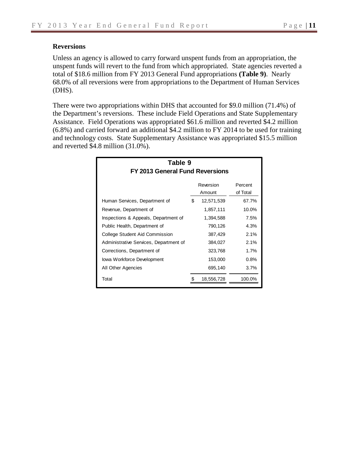### **Reversions**

Unless an agency is allowed to carry forward unspent funds from an appropriation, the unspent funds will revert to the fund from which appropriated. State agencies reverted a total of \$18.6 million from FY 2013 General Fund appropriations **(Table 9)**. Nearly 68.0% of all reversions were from appropriations to the Department of Human Services (DHS).

There were two appropriations within DHS that accounted for \$9.0 million (71.4%) of the Department's reversions. These include Field Operations and State Supplementary Assistance. Field Operations was appropriated \$61.6 million and reverted \$4.2 million (6.8%) and carried forward an additional \$4.2 million to FY 2014 to be used for training and technology costs. State Supplementary Assistance was appropriated \$15.5 million and reverted \$4.8 million (31.0%).

| Table 9<br>FY 2013 General Fund Reversions |    |                     |                     |  |  |  |  |  |  |  |  |
|--------------------------------------------|----|---------------------|---------------------|--|--|--|--|--|--|--|--|
|                                            |    | Reversion<br>Amount | Percent<br>of Total |  |  |  |  |  |  |  |  |
| Human Services, Department of              | \$ | 12,571,539          | 67.7%               |  |  |  |  |  |  |  |  |
| Revenue, Department of                     |    | 1,857,111           | $10.0\%$            |  |  |  |  |  |  |  |  |
| Inspections & Appeals, Department of       |    | 1,394,588           | 7.5%                |  |  |  |  |  |  |  |  |
| Public Health, Department of               |    | 790,126             | 4.3%                |  |  |  |  |  |  |  |  |
| College Student Aid Commission             |    | 387,429             | 2.1%                |  |  |  |  |  |  |  |  |
| Administrative Services, Department of     |    | 384,027             | 2.1%                |  |  |  |  |  |  |  |  |
| Corrections, Department of                 |    | 323,768             | 1.7%                |  |  |  |  |  |  |  |  |
| lowa Workforce Development                 |    | 153,000             | 0.8%                |  |  |  |  |  |  |  |  |
| All Other Agencies                         |    | 695,140             | $3.7\%$             |  |  |  |  |  |  |  |  |
| Total                                      |    | 18,556,728          | 100.0%              |  |  |  |  |  |  |  |  |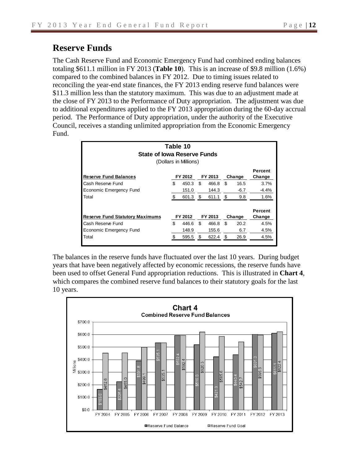# **Reserve Funds**

The Cash Reserve Fund and Economic Emergency Fund had combined ending balances totaling \$611.1 million in FY 2013 (**Table 10**). This is an increase of \$9.8 million (1.6%) compared to the combined balances in FY 2012. Due to timing issues related to reconciling the year-end state finances, the FY 2013 ending reserve fund balances were \$11.3 million less than the statutory maximum. This was due to an adjustment made at the close of FY 2013 to the Performance of Duty appropriation. The adjustment was due to additional expenditures applied to the FY 2013 appropriation during the 60-day accrual period. The Performance of Duty appropriation, under the authority of the Executive Council, receives a standing unlimited appropriation from the Economic Emergency Fund.

| Table 10<br><b>State of lowa Reserve Funds</b><br>(Dollars in Millions) |     |         |     |         |     |        |                   |  |  |  |  |
|-------------------------------------------------------------------------|-----|---------|-----|---------|-----|--------|-------------------|--|--|--|--|
| <b>Reserve Fund Balances</b>                                            |     | FY 2012 |     | FY 2013 |     | Change | Percent<br>Change |  |  |  |  |
| Cash Reserve Fund                                                       | \$  | 450.3   | \$  | 466.8   | \$  | 16.5   | 3.7%              |  |  |  |  |
| Economic Emergency Fund                                                 |     | 151.0   |     | 144.3   |     | $-6.7$ | $-4.4%$           |  |  |  |  |
| Total                                                                   |     | 601.3   | \$. | 611.1   | \$. | 9.8    | 1.6%              |  |  |  |  |
| FY 2012<br>FY 2013<br><b>Reserve Fund Statutory Maximums</b><br>Change  |     |         |     |         |     |        |                   |  |  |  |  |
| Cash Reserve Fund                                                       | \$. | 446.6   | \$. | 466.8   | \$  | 20.2   | 4.5%              |  |  |  |  |
| Economic Emergency Fund                                                 |     | 148.9   |     | 155.6   |     | 6.7    | 4.5%              |  |  |  |  |
| Total                                                                   |     | 595.5   | S   | 622.4   | \$  | 26.9   | 4.5%              |  |  |  |  |

The balances in the reserve funds have fluctuated over the last 10 years. During budget years that have been negatively affected by economic recessions, the reserve funds have been used to offset General Fund appropriation reductions. This is illustrated in **Chart 4**, which compares the combined reserve fund balances to their statutory goals for the last 10 years.

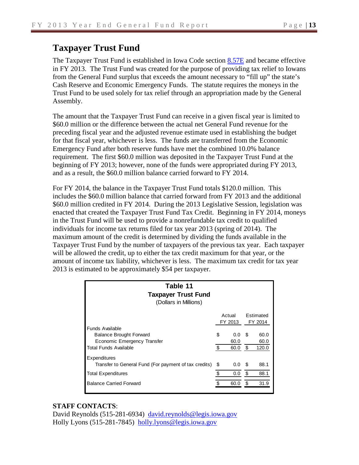# **Taxpayer Trust Fund**

The Taxpayer Trust Fund is established in Iowa Code section [8.57E](https://www.legis.iowa.gov/docs/ico/section/2013/8.57E.pdf) and became effective in FY 2013. The Trust Fund was created for the purpose of providing tax relief to Iowans from the General Fund surplus that exceeds the amount necessary to "fill up" the state's Cash Reserve and Economic Emergency Funds. The statute requires the moneys in the Trust Fund to be used solely for tax relief through an appropriation made by the General Assembly.

The amount that the Taxpayer Trust Fund can receive in a given fiscal year is limited to \$60.0 million or the difference between the actual net General Fund revenue for the preceding fiscal year and the adjusted revenue estimate used in establishing the budget for that fiscal year, whichever is less. The funds are transferred from the Economic Emergency Fund after both reserve funds have met the combined 10.0% balance requirement. The first \$60.0 million was deposited in the Taxpayer Trust Fund at the beginning of FY 2013; however, none of the funds were appropriated during FY 2013, and as a result, the \$60.0 million balance carried forward to FY 2014.

For FY 2014, the balance in the Taxpayer Trust Fund totals \$120.0 million. This includes the \$60.0 million balance that carried forward from FY 2013 and the additional \$60.0 million credited in FY 2014. During the 2013 Legislative Session, legislation was enacted that created the Taxpayer Trust Fund Tax Credit. Beginning in FY 2014, moneys in the Trust Fund will be used to provide a nonrefundable tax credit to qualified individuals for income tax returns filed for tax year 2013 (spring of 2014). The maximum amount of the credit is determined by dividing the funds available in the Taxpayer Trust Fund by the number of taxpayers of the previous tax year. Each taxpayer will be allowed the credit, up to either the tax credit maximum for that year, or the amount of income tax liability, whichever is less. The maximum tax credit for tax year 2013 is estimated to be approximately \$54 per taxpayer.

| Table 11<br><b>Taxpayer Trust Fund</b><br>(Dollars in Millions) |                        |      |           |
|-----------------------------------------------------------------|------------------------|------|-----------|
|                                                                 | Actual                 |      | Estimated |
| Funds Available                                                 | FY 2013                |      | FY 2014   |
| <b>Balance Brought Forward</b>                                  | \$<br>0.0              | - \$ | 60.0      |
| Economic Emergency Transfer                                     | 60.0                   |      | 60.0      |
| <b>Total Funds Available</b>                                    | \$<br>60.0             | - \$ | 120.0     |
| Expenditures                                                    |                        |      |           |
| Transfer to General Fund (For payment of tax credits)           | \$<br>$0.0 \,$ \$      |      | 88.1      |
| <b>Total Expenditures</b>                                       | \$<br>0.0 <sup>5</sup> |      | 88.1      |
| <b>Balance Carried Forward</b>                                  | 60.0                   | S    | 31.9      |

### **STAFF CONTACTS**:

David Reynolds (515-281-6934) [david.reynolds@legis.iowa.gov](mailto:david.reynolds@legis.iowa.gov) Holly Lyons (515-281-7845) [holly.lyons@legis.iowa.gov](mailto:holly.lyons@legis.iowa.gov)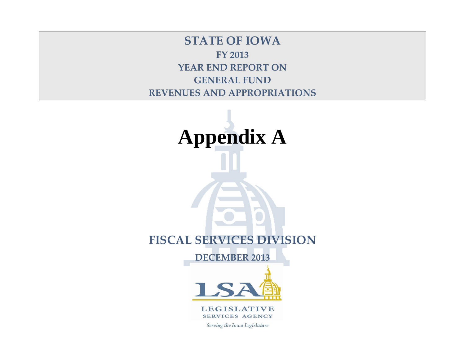**STATE OF IOWA FY 2013 YEAR END REPORT ON GENERAL FUND REVENUES AND APPROPRIATIONS**

**Appendix A FISCAL SERVICES DIVISION DECEMBER 2013**



**LEGISLATIVE** SERVICES AGENCY

Serving the Iowa Legislature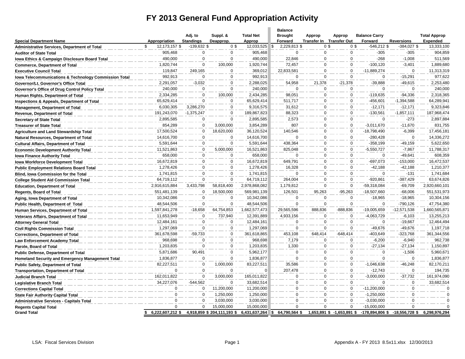# **FY 2013 General Fund Appropriation Activity**

|                                                       |                        |                             |                             |                            | <b>Balance</b>            |                                    |                            |                                 |                   |                                 |
|-------------------------------------------------------|------------------------|-----------------------------|-----------------------------|----------------------------|---------------------------|------------------------------------|----------------------------|---------------------------------|-------------------|---------------------------------|
| <b>Special Department Name</b>                        | Appropriation          | Adj. to<br><b>Standings</b> | Suppl. &<br>Deapprop.       | <b>Total Net</b><br>Approp | <b>Brought</b><br>Forward | Approp<br>Transfer In Transfer Out | Approp                     | <b>Balance Carry</b><br>Forward | <b>Reversions</b> | <b>Total Approp</b><br>Expended |
| <b>Administrative Services, Department of Total</b>   | \$<br>12,173,157 \$    | $-139,632$ \$               | 0 <sup>5</sup>              | 12,033,525 \$              | 2,229,813 \$              | 0 <sup>5</sup>                     | 0 <sup>5</sup>             | $-546,212$ \$                   | $-384,027$ \$     | 13,333,100                      |
| <b>Auditor of State Total</b>                         | 905,468                | $\mathbf 0$                 | $\mathbf 0$                 | 905,468                    | $\mathbf 0$               | $\mathbf 0$                        | $\mathbf 0$                | $-305$                          | $-305$            | 904,859                         |
| Iowa Ethics & Campaign Disclosure Board Total         | 490.000                | $\mathbf 0$                 | $\Omega$                    | 490,000                    | 22.846                    | $\mathbf 0$                        | $\Omega$                   | $-268$                          | $-1,008$          | 511,569                         |
| <b>Commerce, Department of Total</b>                  | 1,820,744              | $\mathbf 0$                 | 100,000                     | 1,920,744                  | 72,457                    | $\mathbf 0$                        | $^{\circ}$                 | $-100, 120$                     | $-3,401$          | 1,889,680                       |
| <b>Executive Council Total</b>                        | 119,847                | 249,165                     | $\mathbf 0$                 | 369,012                    | 22,833,581                | $\Omega$                           | $\Omega$                   | $-11,889,274$                   | 0                 | 11,313,319                      |
| Iowa Telecommunications & Technology Commission Total | 992,913                | $\mathbf 0$                 | $\mathbf 0$                 | 992,913                    | $\mathbf 0$               | $\mathbf 0$                        | $\mathbf 0$                | $\mathbf 0$                     | $-15,291$         | 977,622                         |
| Governor/Lt. Governor's Office Total                  | 2,291,057              | $-3,032$                    | $\mathbf 0$                 | 2,288,025                  | 54,958                    | 21,378                             | $-21,378$                  | $-39,888$                       | $-49,615$         | 2,253,480                       |
| Governor's Office of Drug Control Policy Total        | 240,000                | $\mathbf 0$                 | $\mathbf 0$                 | 240,000                    | $\Omega$                  | $\mathbf 0$                        | $\Omega$                   | $\mathbf 0$                     | $\mathbf 0$       | 240,000                         |
| Human Rights, Department of Total                     | 2,334,285              | $\Omega$                    | 100,000                     | 2,434,285                  | 98,051                    | $\Omega$                           | $\Omega$                   | $-119,635$                      | $-94,336$         | 2,318,365                       |
| Inspections & Appeals, Department of Total            | 65,629,414             | $\Omega$                    | $\mathbf 0$                 | 65,629,414                 | 511,717                   | $\mathbf 0$                        | $\Omega$                   | $-456,601$                      | $-1,394,588$      | 64,289,941                      |
| <b>Management, Department of Total</b>                | 6,030,305              | 3,286,270                   | $\mathbf 0$                 | 9,316,575                  | 31,612                    | $\mathbf 0$                        | $\Omega$                   | $-12,171$                       | $-12,171$         | 9,323,846                       |
| <b>Revenue, Department of Total</b>                   | 191,243,070            | $-1,375,247$                | $\mathbf 0$                 | 189,867,823                | 88,323                    | $\mathbf 0$                        | $\Omega$                   | $-130,561$                      | $-1,857,111$      | 187,968,474                     |
| <b>Secretary of State Total</b>                       | 2,895,585              | $\mathbf 0$                 | $\mathbf 0$                 | 2,895,585                  | 2,573                     | $\mathbf 0$                        | $\mathbf 0$                | $\mathbf 0$                     | $-273$            | 2,897,884                       |
| <b>Treasurer of State Total</b>                       | 854,289                | $\mathbf 0$                 | 3,000,000                   | 3,854,289                  | 807                       | $\Omega$                           | $\overline{0}$             | $-3,011,670$                    | $-11,670$         | 831,755                         |
| <b>Agriculture and Land Stewardship Total</b>         | 17,500,524             | $\mathbf 0$                 | 18,620,000                  | 36,120,524                 | 140,546                   | $\Omega$                           | $\Omega$                   | $-18,798,490$                   | $-6,399$          | 17,456,181                      |
| Natural Resources, Department of Total                | 14,616,700             | $\mathbf 0$                 | $\mathbf 0$                 | 14,616,700                 | $\Omega$                  | $\mathbf 0$                        | $\mathbf 0$                | $-280,428$                      | $\mathbf 0$       | 14,336,272                      |
| <b>Cultural Affairs, Department of Total</b>          | 5,591,644              | $\mathbf 0$                 | $\mathbf 0$                 | 5,591,644                  | 438,364                   | $\pmb{0}$                          | 0                          | $-358,199$                      | -49,159           | 5,622,650                       |
| <b>Economic Development Authority Total</b>           | 11,521,863             | 0                           | 5,000,000                   | 16,521,863                 | 825,048                   | $\mathbf 0$                        | $\mathbf 0$                | $-5,550,727$                    | $-7,867$          | 11,788,317                      |
| <b>Iowa Finance Authority Total</b>                   | 658,000                | $\mathbf 0$                 | $\mathbf 0$                 | 658,000                    | $\Omega$                  | $\mathbf 0$                        | $\Omega$                   | $\mathbf 0$                     | $-49,641$         | 608,359                         |
| <b>Iowa Workforce Development Total</b>               | 16,672,819             | 0                           | $\mathbf 0$                 | 16,672,819                 | 649,791                   | 0                                  | $\Omega$                   | $-697,073$                      | $-153,000$        | 16,472,537                      |
| <b>Public Employment Relations Board Total</b>        | 1,278,426              | $\mathbf 0$                 | $\mathbf 0$                 | 1,278,426                  | 16,328                    | $\pmb{0}$                          | $\mathsf 0$                | $-42,188$                       | $-42,188$         | 1,210,377                       |
| Blind, Iowa Commission for the Total                  | 1,741,815              | $\mathbf 0$                 | $\Omega$                    | 1,741,815                  | $\Omega$                  | $\mathbf 0$                        | $\mathbf 0$                | $\Omega$                        | $-131$            | 1,741,684                       |
| <b>College Student Aid Commission Total</b>           | 64,719,112             | $\Omega$                    | $\mathbf 0$                 | 64,719,112                 | 264,004                   | $\Omega$                           | $\Omega$                   | $-920,861$                      | $-387,429$        | 63,674,826                      |
| <b>Education, Department of Total</b>                 | 2,916,615,884          | 3,433,798                   | 58,818,400                  | 2,978,868,082              | 1,179,812                 | $\mathbf 0$                        | $\overline{0}$             | $-59,318,084$                   | $-69,709$         | 2,920,660,101                   |
| <b>Regents, Board of Total</b>                        | 551,481,139            | $\mathbf 0$                 | 18,500,000                  | 569,981,139                | 126,501                   | 95,263                             | $-95,263$                  | $-18,507,660$                   | $-68,006$         | 551,531,973                     |
| Aging, Iowa Department of Total                       | 10,342,086             | $\mathbf 0$                 | $\mathbf 0$                 | 10,342,086                 | $\mathbf 0$               | $\Omega$                           | $\mathbf 0$                | $-18,965$                       | $-18,965$         | 10,304,156                      |
| Public Health, Department of Total                    | 48,544,506             | $\Omega$                    | $\mathbf 0$                 | 48,544,506                 | $\Omega$                  | $\mathbf 0$                        | $\Omega$                   | $\mathbf 0$                     | $-790, 126$       | 47,754,380                      |
| Human Services, Department of Total                   | 1,597,841,278          | $-18,658$                   | 64,754,853                  | 1,662,577,473              | 29,565,596                | 888,836                            | -888,836                   | -19,005,659                     | $-12,571,538$     | 1,660,565,871                   |
| Veterans Affairs, Department of Total                 | 11,653,949             | $\mathbf 0$                 | 737,940                     | 12,391,889                 | 4,933,156                 | $\mathbf 0$                        | $\Omega$                   | $-4,063,729$                    | $-6,103$          | 13,255,213                      |
| <b>Attorney General Total</b>                         | 12,484,161             | $\mathbf 0$                 | $\mathbf 0$                 | 12,484,161                 | $\mathbf 0$               | $\mathbf 0$                        | $\mathbf 0$                | $\mathbf 0$                     | $-19,667$         | 12,464,494                      |
| <b>Civil Rights Commission Total</b>                  | 1,297,069              | $\mathbf 0$                 | $\mathbf 0$                 | 1,297,069                  | $\mathbf 0$               | $\Omega$                           | $\Omega$                   | -49,676                         | $-49,676$         | 1,197,718                       |
| <b>Corrections, Department of Total</b>               | 361,678,598            | $-59.733$                   | $\mathbf 0$                 | 361,618,865                | 453,108                   | 648.414                            | $-648.414$                 | $-403.649$                      | $-323,768$        | 361,344,556                     |
| <b>Law Enforcement Academy Total</b>                  | 968,698                | $\Omega$                    | 0                           | 968,698                    | 7,179                     | $\mathbf 0$                        | $\mathbf 0$                | $-6,200$                        | $-6,940$          | 962,738                         |
| Parole, Board of Total                                | 1,203,835              | $\Omega$                    | $\mathbf 0$                 | 1,203,835                  | 1,330                     | $\Omega$                           | $\overline{0}$             | $-27,134$                       | $-27,134$         | 1,150,897                       |
| <b>Public Defense, Department of Total</b>            | 5,871,686              | 90.491                      | $\mathbf 0$                 | 5,962,177                  | $\Omega$                  | $\Omega$                           | $\mathbf 0$                | $\mathbf 0$                     | $-1,506$          | 5,960,671                       |
| Homeland Security and Emergency Management Total      | 1,836,877              | $\mathbf 0$                 | $\mathbf 0$                 | 1,836,877                  | $\Omega$                  | $\mathbf 0$                        | $\mathbf 0$                | $\mathbf 0$                     | 0                 | 1,836,877                       |
| <b>Public Safety, Department of Total</b>             | 82,227,511             | $\mathbf 0$                 | 1,000,000                   | 83,227,511                 | 35,586                    | $\mathbf 0$                        | $\mathbf 0$                | $-1,046,638$                    | $-46,248$         | 82,170,211                      |
| <b>Transportation, Department of Total</b>            | $\Omega$               | $\mathbf 0$                 | $\Omega$                    | $\Omega$                   | 207,478                   | $\mathbf 0$                        | $\Omega$                   | $-12,743$                       | $\Omega$          | 194,735                         |
| <b>Judicial Branch Total</b>                          | 162,011,822            | $\mathbf 0$                 | 3,000,000                   | 165,011,822                | $\Omega$                  | $\mathbf 0$                        | $\Omega$                   | $-3,000,000$                    | $-37,732$         | 161,974,090                     |
| <b>Legislative Branch Total</b>                       | 34,227,076             | $-544,562$                  | $\mathbf 0$                 | 33,682,514                 | $\mathbf 0$               | $\mathbf 0$                        | $\Omega$                   | $\mathbf 0$                     | 0                 | 33,682,514                      |
| <b>Corrections Capital Total</b>                      | $\Omega$               | $\mathbf 0$                 | 11,200,000                  | 11,200,000                 | $\Omega$                  | $\pmb{0}$                          | $\Omega$                   | $-11,200,000$                   | $\Omega$          | $\sqrt{ }$                      |
| <b>State Fair Authority Capital Total</b>             | $\Omega$               | $\mathbf 0$                 | 1,250,000                   | 1,250,000                  | $\mathbf 0$               | $\mathbf 0$                        | $\Omega$                   | $-1,250,000$                    | 0                 | C                               |
| <b>Administrative Services - Capitals Total</b>       | $\Omega$               | $\mathbf 0$                 | 3,030,000                   | 3,030,000                  | $\mathbf 0$               | $\Omega$                           | $\Omega$                   | $-3,030,000$                    | $\Omega$          |                                 |
| <b>Regents Capital Total</b>                          | $\Omega$               | $\mathbf 0$                 | 15,000,000                  | 15,000,000                 | $\mathbf 0$               | $\Omega$                           | $\Omega$                   | $-15,000,000$                   | $\mathbf 0$       | $\Omega$                        |
| <b>Grand Total</b>                                    | 6,222,607,212 \$<br>\$ |                             | 4,918,859 \$ 204,111,193 \$ | 6,431,637,264              | 64,790,564 \$<br>\$       |                                    | 1,653,891 \$ -1,653,891 \$ | $-178,894,806$ \$               | $-18,556,728$ \$  | 6,298,976,294                   |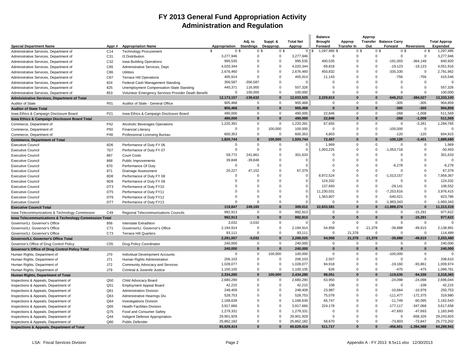### **FY 2013 General Fund Appropriation Activity Administration and Regulation**

| <b>Special Department Name</b>                        | Appr#           | <b>Appropriation Name</b>                           | Appropriation        | Adj. to<br>Standings | Suppl. &<br>Deapprop. | <b>Total Net</b><br>Approp | <b>Balance</b><br><b>Brought</b><br>Forward | Approp<br><b>Transfer In</b> | Approp<br>Out | <b>Transfer</b> Balance Carry<br>Forward | <b>Reversions</b>                | <b>Total Approp</b><br>Expended |
|-------------------------------------------------------|-----------------|-----------------------------------------------------|----------------------|----------------------|-----------------------|----------------------------|---------------------------------------------|------------------------------|---------------|------------------------------------------|----------------------------------|---------------------------------|
| Administrative Services, Department of                | C <sub>14</sub> | <b>Technology Procurement</b>                       | \$<br>0 <sup>5</sup> | 0 <sup>5</sup>       | 0 <sup>3</sup>        | $\overline{0}$             | 1,297,485 \$<br>$\mathsf{s}$                | 0 <sup>3</sup>               |               | 0 <sup>3</sup>                           | 0 <sup>5</sup><br>0 <sup>3</sup> | 1,297,485                       |
| Administrative Services, Department of                | C31             | 13 Distribution                                     | 3,277,946            | $\Omega$             | $\mathbf 0$           | 3,277,946                  | $\mathbf 0$                                 | $\Omega$                     | $\Omega$      | $\mathbf 0$                              | $\mathbf 0$                      | 3,277,946                       |
| Administrative Services, Department of                | C32             | Iowa Building Operations                            | 995,535              | $\Omega$             | $\mathbf 0$           | 995,535                    | 400,535                                     | $\mathbf 0$                  | $\Omega$      | $-191,003$                               | $-364, 148$                      | 840,920                         |
| Administrative Services, Department of                | C85             | Administrative Services, Dept.                      | 4,020,344            | $\Omega$             | $\mathbf 0$           | 4,020,344                  | 69,818                                      | $\mathbf 0$                  | $\Omega$      | $-19,123$                                | $-19,123$                        | 4,051,916                       |
| Administrative Services, Department of                | C86             | <b>Utilities</b>                                    | 2,676,460            | $\Omega$             | $\mathbf 0$           | 2,676,460                  | 450,832                                     | $\mathbf 0$                  | $\mathbf 0$   | $-335,330$                               | $\mathbf 0$                      | 2,791,962                       |
| Administrative Services, Department of                | C87             | <b>Terrace Hill Operations</b>                      | 405,914              | $\Omega$             | $\Omega$              | 405,914                    | 11,143                                      | $\Omega$                     | $\Omega$      | $-756$                                   | $-756$                           | 415.546                         |
| Administrative Services, Department of                | 824             | Federal Cash Management Standing                    | 356,587              | $-356,587$           | $\Omega$              | $\Omega$                   | $\Omega$                                    | $\Omega$                     | $\Omega$      | $\Omega$                                 | $\Omega$                         |                                 |
| Administrative Services, Department of                | 825             | Unemployment Compensation-State Standing            | 440,371              | 116,955              | $\mathbf 0$           | 557,326                    | $\mathbf 0$                                 | $\mathbf 0$                  | $\mathbf 0$   | $\mathsf 0$                              | $\mathbf 0$                      | 557,326                         |
| Administrative Services, Department of                | 853             | Volunteer Emergency Services Provider Death Benefit | $\Omega$             | 100,000              | $\Omega$              | 100,000                    | $\Omega$                                    | $\Omega$                     | $\Omega$      | $\mathbf 0$                              | $\mathbf 0$                      | 100.000                         |
| Administrative Services, Department of Total          |                 |                                                     | 12,173,157           | $-139,632$           | $\bf{0}$              | 12,033,525                 | 2,229,813                                   | $\bf{0}$                     | 0             | $-546,212$                               | $-384,027$                       | 13,333,100                      |
| Auditor of State                                      | P01             | Auditor of State - General Office                   | 905,468              | $\Omega$             | $\mathbf 0$           | 905,468                    | $\mathbf 0$                                 | $\Omega$                     | $\mathbf 0$   | $-305$                                   | $-305$                           | 904,859                         |
| <b>Auditor of State Total</b>                         |                 |                                                     | 905,468              | $\Omega$             | $\bf{0}$              | 905,468                    | $\pmb{0}$                                   | $\pmb{0}$                    | $\bf{0}$      | $-305$                                   | $-305$                           | 904,859                         |
| Iowa Ethics & Campaign Disclosure Board               | P21             | Iowa Ethics & Campaign Disclosure Board             | 490,000              | $\Omega$             | $\Omega$              | 490,000                    | 22,846                                      | $\Omega$                     | $\Omega$      | $-268$                                   | $-1,008$                         | 511,569                         |
| Iowa Ethics & Campaign Disclosure Board Total         |                 |                                                     | 490,000              | $\bf{0}$             | $\bf{0}$              | 490,000                    | 22,846                                      | $\bf{0}$                     | $\bf{0}$      | $-268$                                   | $-1.008$                         | 511,569                         |
| Commerce, Department of                               | P42             | Alcoholic Beverages Operations                      | 1,220,391            | $\Omega$             | $\mathbf 0$           | 1,220,391                  | 67,655                                      | $\mathbf 0$                  | $\Omega$      | $\mathbf 0$                              | $-3,281$                         | 1,284,765                       |
| Commerce, Department of                               | P <sub>50</sub> | <b>Financial Literacy</b>                           | $\Omega$             | $\Omega$             | 100,000               | 100,000                    | $\mathbf 0$                                 | $\mathbf 0$                  | $\Omega$      | $-100,000$                               | $\mathbf 0$                      |                                 |
| Commerce, Department of                               | P48             | Professional Licensing Bureau                       | 600,353              | $\Omega$             | $\Omega$              | 600,353                    | 4,803                                       | $\Omega$                     | $\Omega$      | $-120$                                   | $-120$                           | 604,915                         |
| <b>Commerce, Department of Total</b>                  |                 |                                                     | 1,820,744            | $\bf{0}$             | 100,000               | 1,920,744                  | 72,457                                      | $\bf{0}$                     | $\bf{0}$      | $-100, 120$                              | $-3,401$                         | 1,889,680                       |
| <b>Executive Council</b>                              | 6D <sub>6</sub> | Performance of Duty FY 06                           | $\Omega$             | $\Omega$             | $\mathbf 0$           | $\Omega$                   | 1,969                                       | $\mathbf 0$                  | $\Omega$      | $\Omega$                                 | $\mathbf 0$                      | 1,969                           |
| <b>Executive Council</b>                              | 7D7             | Performance of Duty FY 07                           | $\Omega$             | $\Omega$             | $\mathbf 0$           | $\Omega$                   | 1,003,225                                   | $\mathbf 0$                  | $\Omega$      | $-1,053,718$                             | $\mathbf 0$                      | $-50,493$                       |
| <b>Executive Council</b>                              | 867             | <b>Court Costs</b>                                  | 59,772               | 241,861              | $\mathbf 0$           | 301,633                    | $\mathbf 0$                                 | $\mathbf 0$                  | $\Omega$      | $\Omega$                                 | 0                                | 301,633                         |
| <b>Executive Council</b>                              | 868             | Public Improvements                                 | 39,848               | $-39,848$            | $\Omega$              | $\Omega$                   | $\Omega$                                    | $\Omega$                     | $\Omega$      | $\Omega$                                 | $\Omega$                         |                                 |
| <b>Executive Council</b>                              | 870             | Performance Of Duty                                 | $\Omega$             | $\Omega$             | $\Omega$              | $\Omega$                   | $\Omega$                                    | $\Omega$                     | $\Omega$      | $-6,278$                                 | $\Omega$                         | $-6,278$                        |
| <b>Executive Council</b>                              | 871             | Drainage Assessment                                 | 20,227               | 47,152               | $\mathbf 0$           | 67,379                     | $\mathbf 0$                                 | $\mathbf 0$                  | $\mathbf 0$   | 0                                        | 0                                | 67,379                          |
| <b>Executive Council</b>                              | 8D <sub>8</sub> | Performance of Duty FY 08                           | $\Omega$             | $\Omega$             | $\Omega$              | $\Omega$                   | 8,972,524                                   | $\Omega$                     | $\Omega$      | $-1,013,157$                             | $\Omega$                         | 7,959,367                       |
| <b>Executive Council</b>                              | 9D <sub>9</sub> | Performance of Duty FY 09                           | $\Omega$             | $\Omega$             | $\Omega$              | $\Omega$                   | 124,332                                     | $\Omega$                     | $\Omega$      | $\Omega$                                 | $\Omega$                         | 124,332                         |
| <b>Executive Council</b>                              | DT <sub>3</sub> | Performance of Duty FY10                            | $\Omega$             | $\Omega$             | $\Omega$              | $\overline{0}$             | 137,693                                     | $\mathbf 0$                  | $\Omega$      | $-29,141$                                | $\mathbf 0$                      | 108,552                         |
| <b>Executive Council</b>                              | DT <sub>5</sub> | Performance of Duty FY11                            | $\Omega$             | $\Omega$             | $\mathbf 0$           | $\overline{0}$             | 11,230,031                                  | $\mathbf 0$                  | $\Omega$      | $-7,253,616$                             | 0                                | 3,976,415                       |
| <b>Executive Council</b>                              | DT6             | Performance of Duty FY12                            | $\Omega$             | $\Omega$             | $\Omega$              | $\Omega$                   | 1,363,807                                   | $\Omega$                     | $\Omega$      | $-540,021$                               | $\mathbf 0$                      | 823,786                         |
| <b>Executive Council</b>                              | DT7             | Performance of Duty FY13                            | $\Omega$             | $\Omega$             | $\Omega$              | $\Omega$                   | $\Omega$                                    | $\Omega$                     | $\Omega$      | $-1.993.343$                             | $\Omega$                         | $-1.993.343$                    |
| <b>Executive Council Total</b>                        |                 |                                                     | 119,847              | 249,165              | $\bf{0}$              | 369,012                    | 22,833,581                                  | $\bf{0}$                     | O             | $-11,889,274$                            | $\bf{0}$                         | 11,313,319                      |
| Iowa Telecommunications & Technology Commission       | C49             | Regional Telecommunications Councils                | 992,913              | $\Omega$             | $\Omega$              | 992,913                    | $\mathbf{0}$                                | $\Omega$                     | $\Omega$      | 0                                        | $-15,291$                        | 977,622                         |
| Iowa Telecommunications & Technology Commission Total |                 |                                                     | 992,913              | $\bf{0}$             | $\bf{0}$              | 992,913                    | $\bf{0}$                                    | $\bf{0}$                     | 0             | $\bf{0}$                                 | $-15,291$                        | 977,622                         |
| Governor/Lt. Governor's Office                        | 856             | Interstate Extradition                              | 3,032                | $-3,032$             | $\mathbf 0$           | $\Omega$                   | 0                                           | $\mathbf 0$                  | $\Omega$      | $\mathbf 0$                              | $\mathbf 0$                      |                                 |
| Governor/Lt. Governor's Office                        | C71             | Governor/Lt. Governor's Office                      | 2,194,914            | $\Omega$             | $\mathbf 0$           | 2,194,914                  | 54,958                                      | $\mathbf 0$                  | $-21,378$     | $-39,888$                                | $-49,615$                        | 2,138,991                       |
| Governor/Lt. Governor's Office                        | C73             | <b>Terrace Hill Quarters</b>                        | 93,111               | $\Omega$             | $\Omega$              | 93,111                     | $\mathbf 0$                                 | 21,378                       | $\Omega$      | $\mathbf 0$                              | $\Omega$                         | 114,489                         |
| Governor/Lt. Governor's Office Total                  |                 |                                                     | 2,291,057            | $-3,032$             | $\bf{0}$              | 2,288,025                  | 54,958                                      | 21,378                       | $-21,378$     | $-39,888$                                | $-49,615$                        | 2,253,480                       |
| Governor's Office of Drug Control Policy              | C <sub>05</sub> | Drug Policy Coordinator                             | 240,000              | 0                    | $\Omega$              | 240,000                    | $\Omega$                                    | $\Omega$                     | $\Omega$      | $\Omega$                                 | 0                                | 240,000                         |
| Governor's Office of Drug Control Policy Total        |                 |                                                     | 240,000              | $\bf{0}$             | $\bf{0}$              | 240,000                    | $\bf{0}$                                    | $\bf{0}$                     | 0             | $\bf{0}$                                 | $\mathbf{0}$                     | 240,000                         |
| Human Rights, Department of                           | J70             | Individual Development Accounts                     | $\Omega$             | 0                    | 100,000               | 100,000                    | $\mathbf 0$                                 | 0                            | 0             | $-100,000$                               | 0                                | $\Omega$                        |
| Human Rights, Department of                           | J71             | Human Rights Administration                         | 206,103              | $\mathbf 0$          | $\mathbf 0$           | 206,103                    | 2,507                                       | $\mathbf 0$                  | $\mathbf 0$   | 0                                        | 0                                | 208,610                         |
| Human Rights, Department of                           | <b>J72</b>      | Community Advocacy and Services                     | 1,028,077            | $\Omega$             | $\Omega$              | 1,028,077                  | 94,918                                      | $\Omega$                     | $\Omega$      | $-19,160$                                | $-93,861$                        | 1,009,974                       |
| Human Rights, Department of                           | J79             | Criminal & Juvenile Justice                         | 1,100,105            | $\Omega$             | $\mathbf 0$           | 1,100,105                  | 626                                         | $\Omega$                     | $\Omega$      | $-475$                                   | $-475$                           | 1,099,781                       |
| Human Rights, Department of Total                     |                 |                                                     | 2,334,285            | $\bf{0}$             | 100,000               | 2,434,285                  | 98,051                                      | $\bf{0}$                     | $\bf{0}$      | $-119,635$                               | $-94,336$                        | 2,318,365                       |
| Inspections & Appeals, Department of                  | Q50             | Child Advocacy Board                                | 2,680,290            | $\Omega$             | $\Omega$              | 2,680,290                  | 63,950                                      | $\Omega$                     | $\Omega$      | $-24,098$                                | $-24,098$                        | 2,696,044                       |
| Inspections & Appeals, Department of                  | Q51             | <b>Employment Appeal Board</b>                      | 42,215               | $\Omega$             | $\Omega$              | 42.215                     | 108                                         | $\Omega$                     | $\Omega$      | $\Omega$                                 | $-108$                           | 42,215                          |
| Inspections & Appeals, Department of                  | Q61             | <b>Administration Division</b>                      | 248,409              | $\Omega$             | $\Omega$              | 248,409                    | 23,987                                      | $\mathbf 0$                  | $\Omega$      | $-10,664$                                | $-10,978$                        | 250,753                         |
| Inspections & Appeals, Department of                  | Q63             | Administrative Hearings Div.                        | 528,753              | $\Omega$             | $\pmb{0}$             | 528,753                    | 75,078                                      | $\pmb{0}$                    | $\Omega$      | $-111,477$                               | $-172,375$                       | 319,980                         |
| Inspections & Appeals, Department of                  | Q64             | <b>Investigations Division</b>                      | 1,168,639            | $\Omega$             | $\Omega$              | 1,168,639                  | 65,747                                      | $\Omega$                     | $\Omega$      | $-11,749$                                | $-60,095$                        | 1,162,543                       |
| Inspections & Appeals, Department of                  | Q65             | <b>Health Facilities Division</b>                   | 3,917,666            | $\Omega$             | $\Omega$              | 3,917,666                  | 224,178                                     | $\mathbf 0$                  | $\Omega$      | $-177,117$                               | $-347,068$                       | 3,617,658                       |
| Inspections & Appeals, Department of                  | Q75             | Food and Consumer Safety                            | 1,279,331            | $\Omega$             | $\mathbf 0$           | 1,279,331                  | $\mathbf 0$                                 | $\mathbf 0$                  | $\Omega$      | $-47,693$                                | $-47,693$                        | 1,183,945                       |
| Inspections & Appeals, Department of                  | Q44             | Indigent Defense Appropriation                      | 29,901,929           | $\Omega$             | $\Omega$              | 29,901,929                 | $\Omega$                                    | $\Omega$                     | $\Omega$      | $\Omega$                                 | $-658,326$                       | 29,243,603                      |
| Inspections & Appeals, Department of                  | Q60             | <b>Public Defender</b>                              | 25,862,182           | $\Omega$             | $\Omega$              | 25,862,182                 | 58,670                                      | $\Omega$                     | $\Omega$      | $-73,803$                                | $-73,847$                        | 25,773,202                      |
| <b>Inspections &amp; Appeals, Department of Total</b> |                 |                                                     | 65,629,414           |                      | $\mathbf{0}$          | 65,629,414                 | 511,717                                     | $\Omega$                     |               | $-456,601$                               | $-1,394,588$                     | 64,289,941                      |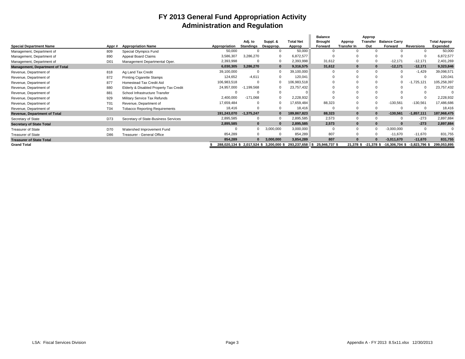## **FY 2013 General Fund Appropriation Activity Administration and Regulation**

|                                        |                 |                                        |                             | Adj. to          | Suppl. &     | <b>Total Net</b> | <b>Balance</b><br><b>Brought</b> | Approp             | Approp<br>Transfer | <b>Balance Carry</b> |                   | <b>Total Approp</b> |
|----------------------------------------|-----------------|----------------------------------------|-----------------------------|------------------|--------------|------------------|----------------------------------|--------------------|--------------------|----------------------|-------------------|---------------------|
| <b>Special Department Name</b>         | Appr#           | <b>Appropriation Name</b>              | Appropriation               | <b>Standings</b> | Deapprop.    | Approp           | Forward                          | <b>Transfer In</b> | Out                | Forward              | <b>Reversions</b> | Expended            |
| Management, Department of              | 809             | Special Olympics Fund                  | 50,000                      |                  |              | 50,000           |                                  |                    |                    |                      |                   | 50,000              |
| Management, Department of              | 890             | Appeal Board Claims                    | 3,586,307                   | 3,286,270        |              | 6,872,577        |                                  |                    |                    |                      |                   | 6,872,577           |
| Management, Department of              | D <sub>01</sub> | Management Departmental Oper.          | 2,393,998                   |                  | $\Omega$     | 2,393,998        | 31,612                           |                    |                    | $-12,171$            | $-12,171$         | 2,401,269           |
| <b>Management, Department of Total</b> |                 |                                        | 6,030,305                   | 3,286,270        | $\bf{0}$     | 9,316,575        | 31,612                           | $\mathbf{0}$       | $\Omega$           | $-12,171$            | $-12,171$         | 9,323,846           |
| Revenue, Department of                 | 818             | Ag Land Tax Credit                     | 39,100,000                  |                  | $\Omega$     | 39,100,000       |                                  |                    |                    |                      | $-1,429$          | 39,098,571          |
| Revenue, Department of                 | 872             | <b>Printing Cigarette Stamps</b>       | 124,652                     | $-4,611$         |              | 120,041          |                                  |                    |                    |                      |                   | 120,041             |
| Revenue, Department of                 | 877             | Homestead Tax Credit Aid               | 106,983,518                 |                  | $\Omega$     | 106,983,518      |                                  |                    |                    |                      | $-1,725,121$      | 105,258,397         |
| Revenue, Department of                 | 880             | Elderly & Disabled Property Tax Credit | 24,957,000                  | $-1,199,568$     |              | 23,757,432       |                                  |                    |                    |                      |                   | 23,757,432          |
| Revenue, Department of                 | 881             | School Infrastructure Transfer         |                             |                  |              |                  |                                  |                    |                    |                      |                   |                     |
| Revenue, Department of                 | 929             | Military Service Tax Refunds           | 2,400,000                   | $-171,068$       | $\Omega$     | 2,228,932        |                                  |                    |                    |                      |                   | 2,228,932           |
| Revenue, Department of                 | T01             | Revenue, Department of                 | 17,659,484                  |                  | $\Omega$     | 17,659,484       | 88,323                           |                    |                    | $-130,561$           | $-130,561$        | 17,486,686          |
| Revenue, Department of                 | T04             | <b>Tobacco Reporting Requirements</b>  | 18,416                      |                  |              | 18,416           |                                  |                    |                    |                      |                   | 18,416              |
| Revenue, Department of Total           |                 |                                        | 191,243,070                 | $-1,375,247$     | $\mathbf{0}$ | 189,867,823      | 88,323                           | $\bf{0}$           | n                  | $-130,561$           | $-1,857,111$      | 187,968,475         |
| Secretary of State                     | D73             | Secretary of State-Business Services   | 2,895,585                   |                  | $\Omega$     | 2,895,585        | 2,573                            | $\mathbf 0$        |                    |                      | $-273$            | 2,897,884           |
| <b>Secretary of State Total</b>        |                 |                                        | 2,895,585                   |                  | $\bf{0}$     | 2,895,585        | 2,573                            | $\mathbf{0}$       |                    | $\Omega$             | $-273$            | 2,897,884           |
| <b>Treasurer of State</b>              | D70             | Watershed Improvement Fund             |                             |                  | 3,000,000    | 3,000,000        |                                  | $\Omega$           |                    | $-3,000,000$         |                   |                     |
| <b>Treasurer of State</b>              | D86             | Treasurer - General Office             | 854,289                     |                  | $\Omega$     | 854,289          | 807                              |                    |                    | $-11,670$            | $-11,670$         | 831,755             |
| <b>Treasurer of State Total</b>        |                 |                                        | 854,289                     |                  | 3,000,000    | 3,854,289        | 807                              | $\Omega$           |                    | $-3,011,670$         | $-11,670$         | 831,755             |
| <b>Grand Total</b>                     |                 |                                        | 288.020.134 \$ 2.017.524 \$ |                  | 3.200.000 \$ | 293.237.658      | 25.946.737 \$                    | 21,378 \$          | $-21.378$ \$       | $-16.306.704$ \$     | $-3.823.796$ \$   | 299.053.895         |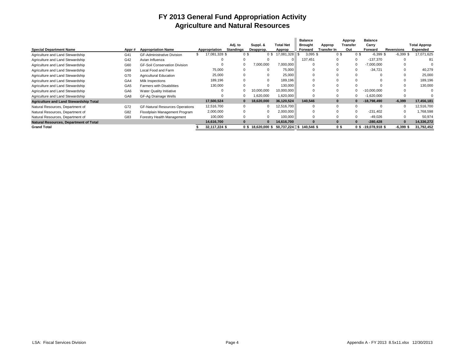## **FY 2013 General Fund Appropriation Activity Agriculture and Natural Resources**

|                                               |                 |                                        |               |                  |     |            |                                             | <b>Balance</b> |             |                | Approp      | <b>Balance</b>        |             |                     |
|-----------------------------------------------|-----------------|----------------------------------------|---------------|------------------|-----|------------|---------------------------------------------|----------------|-------------|----------------|-------------|-----------------------|-------------|---------------------|
|                                               |                 |                                        |               | Adj. to          |     | Suppl. &   | Total Net                                   | Brought        | Approp      |                | Transfer    | Carry                 |             | <b>Total Approp</b> |
| <b>Special Department Name</b>                | Appr#           | <b>Appropriation Name</b>              | Appropriation | <b>Standings</b> |     | Deapprop.  | Approp                                      | Forward        | Transfer In |                | Out         | Forward               | Reversions  | Expended            |
| Agriculture and Land Stewardship              | G41             | <b>GF-Administrative Division</b>      | 17,081,328 \$ |                  | 0\$ | 0S         | 17,081,328                                  | $3,095$ \$     |             | 0 <sup>5</sup> | 0S          | $-6.399$ \$           | $-6,399$    | 17,071,625          |
| Agriculture and Land Stewardship              | G42             | Avian Influenza                        |               |                  |     |            |                                             | 137,451        |             |                | $\Omega$    | $-137.370$            |             | 81                  |
| Agriculture and Land Stewardship              | G60             | <b>GF-Soil Conservation Division</b>   |               |                  |     | 7,000,000  | 7,000,000                                   |                |             |                | $\mathbf 0$ | $-7.000.000$          |             |                     |
| Agriculture and Land Stewardship              | G69             | Local Food and Farm                    | 75,000        |                  |     |            | 75.000                                      |                |             |                |             | $-34.721$             |             | 40.279              |
| Agriculture and Land Stewardship              | G70             | <b>Agricultural Education</b>          | 25,000        | $\Omega$         |     |            | 25,000                                      |                |             |                |             |                       |             | 25,000              |
| Agriculture and Land Stewardship              | GA4             | Milk Inspections                       | 189,196       |                  |     | $\Omega$   | 189.196                                     |                |             |                |             |                       |             | 189,196             |
| Agriculture and Land Stewardship              | GA <sub>5</sub> | <b>Farmers with Disabilities</b>       | 130,000       |                  |     | $\Omega$   | 130.000                                     |                |             |                |             |                       |             | 130,000             |
| Agriculture and Land Stewardship              | GA <sub>6</sub> | <b>Water Quality Initiative</b>        | $\Omega$      |                  |     | 10.000.000 | 10.000.000                                  |                |             |                |             | $-10.000.000$         |             | 0                   |
| Agriculture and Land Stewardship              | GA <sub>8</sub> | GF-Ag Drainage Wells                   |               | - 0              |     | .620,000   | 1,620,000                                   |                |             |                | $\Omega$    | $-1,620,000$          |             |                     |
| <b>Agriculture and Land Stewardship Total</b> |                 |                                        | 17,500,524    | $\bf{0}$         |     | 18.620.000 | 36,120,524                                  | 140,546        | $\bf{0}$    |                | 0           | $-18.798.490$         | $-6,399$    | 17,456,181          |
| Natural Resources, Department of              | G72             | <b>GF-Natural Resources Operations</b> | 12,516,700    | $\Omega$         |     | $\Omega$   | 12,516,700                                  |                |             |                | $\mathbf 0$ |                       |             | 12,516,700          |
| Natural Resources, Department of              | G82             | Floodplain Management Program          | 2,000,000     | $\Omega$         |     | $\Omega$   | 2.000.000                                   |                |             |                |             | $-231.402$            |             | 1,768,598           |
| Natural Resources, Department of              | G83             | Forestry Health Management             | 100.000       | $\Omega$         |     | $\Omega$   | 100.000                                     |                |             |                | $\Omega$    | $-49.026$             |             | 50,974              |
| <b>Natural Resources, Department of Total</b> |                 |                                        | 14,616,700    |                  |     |            | 14,616,700                                  |                |             |                | $\Omega$    | $-280.428$            |             | 14,336,272          |
| <b>Grand Total</b>                            |                 |                                        | 32,117,224 \$ |                  |     |            | 0 \$ 18,620,000 \$ 50,737,224 \$ 140,546 \$ |                |             | 0\$            |             | $0$ \$ -19,078,918 \$ | $-6,399$ \$ | 31,792,452          |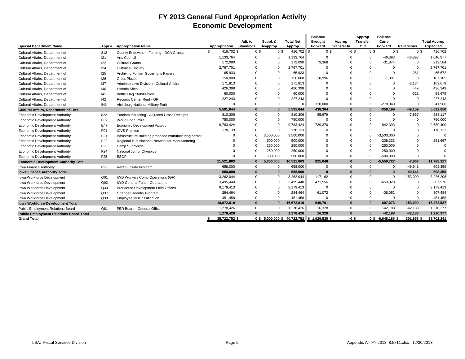## **FY 2013 General Fund Appropriation Activity Economic Development**

|                                                |                 |                                                       |                  |                             |                |                       |                            | <b>Balance</b>            |                              | Approp                 | <b>Balance</b>       |                   |                                 |
|------------------------------------------------|-----------------|-------------------------------------------------------|------------------|-----------------------------|----------------|-----------------------|----------------------------|---------------------------|------------------------------|------------------------|----------------------|-------------------|---------------------------------|
| <b>Special Department Name</b>                 | Appr#           | <b>Appropriation Name</b>                             | Appropriation    | Adj. to<br><b>Standings</b> |                | Suppl. &<br>Deapprop. | <b>Total Net</b><br>Approp | <b>Brought</b><br>Forward | Approp<br><b>Transfer In</b> | <b>Transfer</b><br>Out | Carry<br>Forward     | <b>Reversions</b> | <b>Total Approp</b><br>Expended |
|                                                |                 |                                                       | \$<br>416,702 \$ |                             | 0 <sup>3</sup> | 0 <sup>5</sup>        | 416,702 \$                 | 0 <sup>3</sup>            | 0 <sup>3</sup>               | 0 <sup>3</sup>         | 0 <sup>5</sup>       | 0 <sup>3</sup>    | 416,702                         |
| Cultural Affairs, Department of                | 812             | County Endowment Funding - DCA Grants                 |                  |                             |                |                       |                            |                           |                              |                        |                      |                   |                                 |
| Cultural Affairs, Department of                | 121             | <b>Arts Council</b>                                   | 1,133,764        |                             | 0              | $\mathbf 0$           | 1,133,764                  | $\Omega$                  | $\Omega$                     | $\Omega$               | $-46.393$            | $-46,393$         | 1,040,977                       |
| Cultural Affairs, Department of                | 122             | <b>Cultural Grants</b>                                | 172.090          |                             | $\Omega$       | $\Omega$              | 172,090                    | 79.368                    | $\Omega$                     | $\Omega$               | $-31.874$            | $\Omega$          | 219,584                         |
| Cultural Affairs, Department of                | 124             | <b>Historical Society</b>                             | 2,767,701        |                             | $\Omega$       | $\mathbf 0$           | 2,767,701                  |                           |                              |                        | $\Omega$             | $\Omega$          | 2,767,701                       |
| Cultural Affairs, Department of                | 125             | Archiving Former Governor's Papers                    | 65.933           |                             | $\Omega$       | $\Omega$              | 65,933                     | $\Omega$                  | $\Omega$                     |                        | $\Omega$             | $-261$            | 65,672                          |
| Cultural Affairs, Department of                | 126             | <b>Great Places</b>                                   | 150,000          |                             | 0              | $\Omega$              | 150,000                    | 38.996                    | <sup>0</sup>                 | $\Omega$               | $-1.891$             | $\Omega$          | 187,105                         |
| Cultural Affairs, Department of                | 137             | Administrative Division - Cultural Affairs            | 171.813          |                             | $\Omega$       | $\mathbf 0$           | 171,813                    |                           | $\Omega$                     |                        | $\Omega$             | $-2.134$          | 169,679                         |
| Cultural Affairs, Department of                | 140             | <b>Historic Sites</b>                                 | 426,398          |                             | $\Omega$       | $\Omega$              | 426,398                    | $\Omega$                  | $\Omega$                     |                        | $\Omega$             | $-49$             | 426,349                         |
| Cultural Affairs, Department of                | 141             | <b>Battle Flag Stabilization</b>                      | 60,000           |                             |                | $\Omega$              | 60,000                     |                           |                              |                        |                      | -321              | 59,679                          |
| Cultural Affairs, Department of                | 142             | Records Center Rent - GF                              | 227.243          |                             | $\Omega$       | $\Omega$              | 227.243                    | $\Omega$                  | $\Omega$                     | $\Omega$               | $\Omega$             | $\Omega$          | 227,243                         |
| Cultural Affairs, Department of                | IH <sub>1</sub> | Vicksburg National Military Park                      |                  |                             | $\Omega$       | $\mathbf 0$           |                            | 320,000                   | $\Omega$                     | $\Omega$               | $-278.040$           | $\Omega$          | 41,960                          |
| <b>Cultural Affairs, Department of Total</b>   |                 |                                                       | 5.591.644        |                             | $\Omega$       | $\bf{0}$              | 5.591.644                  | 438.364                   | $\bf{0}$                     | $\bf{0}$               | $-358.199$           | $-49.159$         | 5,622,650                       |
| Economic Development Authority                 | 822             | Tourism marketing - Adjusted Gross Receipts           | 810,306          |                             | $\Omega$       | $\mathbf 0$           | 810,306                    | 85,679                    | $\Omega$                     | $\Omega$               | $\Omega$             | $-7,867$          | 888,117                         |
| Economic Development Authority                 | E02             | World Food Prize                                      | 750,000          |                             | $\Omega$       | $\Omega$              | 750,000                    | $\Omega$                  | $\Omega$                     |                        | $\Omega$             | $\Omega$          | 750,000                         |
| <b>Economic Development Authority</b>          | E47             | Economic Development Approp                           | 9,783,424        |                             | 0              | $\Omega$              | 9,783,424                  | 739,370                   |                              | $\Omega$               | $-842,393$           | $\Omega$          | 9,680,400                       |
| <b>Economic Development Authority</b>          | F01             | <b>ICVS-Promise</b>                                   | 178,133          |                             | 0              | $\Omega$              | 178,133                    | $\Omega$                  | $\Omega$                     | $\Omega$               | $\Omega$             | $\Omega$          | 178,133                         |
| Economic Development Authority                 | F21             | Infrastructure Building proposed manufacturing center |                  |                             | $\Omega$       | 3,500,000             | 3,500,000                  | $\Omega$                  | $\Omega$                     | $\Omega$               | $-3,500,000$         | $\Omega$          |                                 |
| <b>Economic Development Authority</b>          | F <sub>22</sub> | Regional Hub National Network for Manufacturing       |                  |                             | $\Omega$       | 500,000               | 500,000                    | $\Omega$                  | $\Omega$                     | $\Omega$               | $-208,333$           | $\Omega$          | 291,667                         |
| <b>Economic Development Authority</b>          | F <sub>23</sub> | Camp Sunnyside                                        |                  |                             | $\Omega$       | 250,000               | 250,000                    | $\Omega$                  | $\Omega$                     | $\Omega$               | $-250,000$           | $\Omega$          |                                 |
| Economic Development Authority                 | F <sub>24</sub> | National Junior Olympics                              |                  |                             | $\Omega$       | 250,000               | 250,000                    | $\Omega$                  | $\Omega$                     | $\Omega$               | $-250,000$           | $\Omega$          |                                 |
| Economic Development Authority                 | F <sub>25</sub> | <b>ESOP</b>                                           |                  |                             | $\Omega$       | 500,000               | 500,000                    | $\Omega$                  | $\Omega$                     | $\Omega$               | $-500,000$           | $\Omega$          |                                 |
| <b>Economic Development Authority Total</b>    |                 |                                                       | 11,521,863       |                             | $\bf{0}$       | 5,000,000             | 16,521,863                 | 825.048                   | $\bf{0}$                     | $\Omega$               | $-5,550,727$         | $-7,867$          | 11,788,317                      |
| Iowa Finance Authority                         | F92             | Rent Subsidy Program                                  | 658,000          |                             | $\Omega$       | $\mathbf 0$           | 658,000                    | $\Omega$                  | $\Omega$                     | $\Omega$               | $\mathbf 0$          | $-49,641$         | 608,359                         |
| <b>Iowa Finance Authority Total</b>            |                 |                                                       | 658,000          |                             | $\bf{0}$       | $\bf{0}$              | 658,000                    | $\Omega$                  | $\bf{0}$                     | $\Omega$               | $\bf{0}$             | $-49,641$         | 608,359                         |
| Iowa Workforce Development                     | Q <sub>01</sub> | <b>IWD Workers Comp Operations (GF)</b>               | 3,262,044        |                             | $\Omega$       | $\mathbf 0$           | 3,262,044                  | 117,162                   | $\Omega$                     | $\Omega$               | $\mathbf 0$          | $-153,000$        | 3,226,206                       |
| Iowa Workforce Development                     | Q <sub>02</sub> | <b>IWD General Fund - Operations</b>                  | 3,495,440        |                             | 0              | $\Omega$              | 3,495,440                  | 471.556                   | $\Omega$                     | $\Omega$               | $-659,020$           | $\Omega$          | 3,307,976                       |
| Iowa Workforce Development                     | Q30             | Workforce Development Field Offices                   | 9,179,413        |                             | $\Omega$       | $\Omega$              | 9,179,413                  | $\Omega$                  | $\Omega$                     | $\Omega$               | $\Omega$             | $\Omega$          | 9,179,413                       |
| Iowa Workforce Development                     | Q <sub>37</sub> | Offender Reentry Program                              | 284,464          |                             | $\Omega$       | $\Omega$              | 284,464                    | 61,072                    | $\Omega$                     | $\Omega$               | $-38,052$            | $\Omega$          | 307,484                         |
| Iowa Workforce Development                     | Q38             | Employee Misclassification                            | 451,458          |                             | $\Omega$       | $\Omega$              | 451,458                    | $\Omega$                  | $\Omega$                     | $\Omega$               | $\Omega$             | $\Omega$          | 451,458                         |
| <b>Iowa Workforce Development Total</b>        |                 |                                                       | 16,672,819       |                             | $\Omega$       | $\Omega$              | 16,672,819                 | 649,791                   | $\bf{0}$                     | $\mathbf{0}$           | $-697,073$           | $-153,000$        | 16,472,537                      |
| Public Employment Relations Board              | Q81             | PER Board - General Office                            | 1.278.426        |                             | $\Omega$       | $\Omega$              | 1,278,426                  | 16,328                    | $\Omega$                     | $\Omega$               | $-42.188$            | $-42,188$         | 1,210,377                       |
| <b>Public Employment Relations Board Total</b> |                 |                                                       | 1,278,426        |                             | n              | $\Omega$              | 1,278,426                  | 16,328                    | $\Omega$                     |                        | $-42,188$            | $-42,188$         | 1,210,377                       |
| <b>Grand Total</b>                             |                 |                                                       | 35,722,752 \$    |                             |                | $0$ \$ 5,000,000 \$   | 40,722,752                 | $$1,929,530$ \$           | 0 <sup>5</sup>               |                        | $0$ \$ -6,648,186 \$ | $-301,856$ \$     | 35,702,241                      |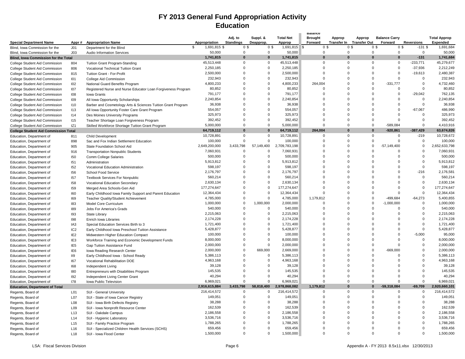## **FY 2013 General Fund Appropriation Activity Education**

|                                             |                 |                                                              |                    | Adj. to          | Suppl. &    | <b>Total Net</b> | Dalance<br><b>Brought</b> | Approp      | Approp                   | <b>Balance Carry</b>             |                   | <b>Total Approp</b> |
|---------------------------------------------|-----------------|--------------------------------------------------------------|--------------------|------------------|-------------|------------------|---------------------------|-------------|--------------------------|----------------------------------|-------------------|---------------------|
| <b>Special Department Name</b>              | Appr#           | <b>Appropriation Name</b>                                    | Appropriation      | <b>Standings</b> | Deapprop.   | Approp           | Forward                   |             | Transfer In Transfer Out | Forward                          | <b>Reversions</b> | <b>Expended</b>     |
| Blind, Iowa Commission for the              | J <sub>01</sub> | Department for the Blind                                     | 1,691,815 \$<br>\$ | 0 <sup>5</sup>   | 0\$         | $1,691,815$ \$   | 0\$                       |             | 0 <sup>3</sup>           | 0 <sup>5</sup><br>0 <sup>3</sup> | $-131$ \$         | 1,691,684           |
| Blind, Iowa Commission for the              | J03             | Audio Information Services                                   | 50,000             | $\mathbf 0$      | $\Omega$    | 50,000           | $\Omega$                  | $\Omega$    |                          | $\mathbf 0$<br>$\mathbf 0$       | $\Omega$          | 50,000              |
| <b>Blind, Iowa Commission for the Total</b> |                 |                                                              | 1,741,815          | $\bf{0}$         | $\bf{0}$    | 1,741,815        | $\bf{0}$                  | 0           |                          | $\bf{0}$<br>$\bf{0}$             | $-131$            | 1,741,684           |
| College Student Aid Commission              | 804             | Tuition Grant Program-Standing                               | 45,513,448         | $\Omega$         | $\Omega$    | 45,513,448       | $\Omega$                  | $\Omega$    |                          | $\Omega$<br>$\Omega$             | $-233,771$        | 45,279,677          |
| College Student Aid Commission              | 806             | Vocational Technical Tuition Grant                           | 2,250,185          | $\Omega$         | $\mathbf 0$ | 2,250,185        | $\Omega$                  | $\Omega$    |                          | $\Omega$<br>$\mathbf 0$          | $-37,936$         | 2,212,249           |
| College Student Aid Commission              | 815             | Tuition Grant - For-Profit                                   | 2,500,000          | $\Omega$         | $\Omega$    | 2,500,000        | $\Omega$                  | $\Omega$    |                          | $\Omega$<br>$\Omega$             | $-19,613$         | 2,480,387           |
| College Student Aid Commission              | 101             | College Aid Commission                                       | 232,943            | $\Omega$         | $\mathbf 0$ | 232,943          | $\Omega$                  | $\Omega$    |                          | $\Omega$<br>$\Omega$             | $\Omega$          | 232,943             |
| College Student Aid Commission              | 102             | National Guard Benefits Program                              | 4,800,233          | $\Omega$         | $\Omega$    | 4,800,233        | 264,004                   | $\Omega$    |                          | $\Omega$<br>$-331,777$           | $\Omega$          | 4,732,460           |
| College Student Aid Commission              | 107             | Registered Nurse and Nurse Educator Loan Forgiveness Program | 80,852             | $\Omega$         | $\Omega$    | 80,852           | $\Omega$                  | $\Omega$    |                          | 0<br>$\Omega$                    | $\mathsf{O}$      | 80,852              |
| College Student Aid Commission              | 108             | <b>Iowa Grants</b>                                           | 791,177            | 0                | $\mathbf 0$ | 791,177          | $\Omega$                  | $\Omega$    |                          | 0<br>$\Omega$                    | $-29,042$         | 762,135             |
| College Student Aid Commission              | 109             | All Iowa Opportunity Scholarships                            | 2,240,854          | $\Omega$         | $\Omega$    | 2,240,854        | $\Omega$                  | $\Omega$    |                          | $\Omega$<br>$\Omega$             | $\Omega$          | 2,240,854           |
| College Student Aid Commission              | 110             | Barber and Cosmetology Arts & Sciences Tuition Grant Program | 36,938             | $\Omega$         | $\Omega$    | 36,938           | $\Omega$                  | $\Omega$    |                          | $\Omega$<br>$\Omega$             | $\Omega$          | 36.938              |
| College Student Aid Commission              | 113             | All Iowa Opportunity Foster Care Grant Program               | 554,057            | $\Omega$         | $\Omega$    | 554,057          | $\Omega$                  | $\Omega$    |                          | $\Omega$<br>$\Omega$             | $-67,067$         | 486,990             |
| College Student Aid Commission              | 114             | Des Moines University Programs                               | 325,973            | $\Omega$         | $\Omega$    | 325,973          | $\Omega$                  | $\Omega$    |                          | $\Omega$<br>$\Omega$             | $\Omega$          | 325,973             |
| College Student Aid Commission              | 115             | Teacher Shortage Loan Forgiveness Program                    | 392,452            | $\Omega$         | $\Omega$    | 392,452          | $\Omega$                  | $\Omega$    |                          | $\Omega$<br>$\Omega$             | $\Omega$          | 392,452             |
| College Student Aid Commission              | IZ1             | Skilled Workforce Shortage Tuition Grant Program             | 5,000,000          | $\Omega$         | $\Omega$    | 5,000,000        | $\Omega$                  | $\mathbf 0$ |                          | $\mathbf 0$<br>$-589,084$        | $\Omega$          | 4,410,916           |
| <b>College Student Aid Commission Total</b> |                 |                                                              | 64,719,112         | $\Omega$         | $\bf{0}$    | 64,719,112       | 264,004                   | ŋ           |                          | $\bf{0}$<br>$-920,861$           | $-387,429$        | 63,674,826          |
| Education, Department of                    | 811             | Child Development                                            | 10,728,891         | $\mathbf 0$      | 0           | 10,728,891       | $\mathbf 0$               | $\mathbf 0$ |                          | 0<br>$\mathbf 0$                 | $-219$            | 10,728,672          |
| Education, Department of                    | 898             | Sac and Fox Indian Settlement Education                      | 100,000            | $\Omega$         | 0           | 100,000          | $\Omega$                  | $\Omega$    |                          | 0<br>$\Omega$                    | $\mathbf 0$       | 100,000             |
| Education, Department of                    | 905             | State Foundation School Aid                                  | 2,649,200,000      | 3,433,798        | 57,149,400  | 2,709,783,198    | $\Omega$                  | $\Omega$    |                          | $\Omega$<br>$-57,149,400$        | $\Omega$          | 2,652,633,798       |
| Education, Department of                    | 916             | <b>Transportation Nonpublic Students</b>                     | 7,060,931          | $\Omega$         | $\Omega$    | 7,060,931        | $\Omega$                  | $\Omega$    |                          | $\Omega$<br>$\Omega$             | $\Omega$          | 7,060,931           |
| Education, Department of                    | 150             | Comm College Salaries                                        | 500,000            | $\mathbf 0$      | 0           | 500,000          | $\Omega$                  | $\Omega$    |                          | 0<br>$\Omega$                    | 0                 | 500,000             |
| Education, Department of                    | 151             | Administration                                               | 5,913,812          | $\Omega$         | $\Omega$    | 5,913,812        | $\Omega$                  | $\Omega$    |                          | $\Omega$<br>$\Omega$             | $\Omega$          | 5,913,812           |
| Education, Department of                    | 152             | Vocational Education Administration                          | 598,197            | $\Omega$         | $\Omega$    | 598,197          | $\Omega$                  | $\Omega$    |                          | $\Omega$<br>$\Omega$             | $\Omega$          | 598,197             |
| Education, Department of                    | 156             | School Food Service                                          | 2,176,797          | $\Omega$         | $\Omega$    | 2,176,797        | $\Omega$                  | $\Omega$    |                          | $\Omega$<br>$\Omega$             | $-216$            | 2,176,581           |
| Education, Department of                    | 157             | <b>Textbook Services For Nonpublic</b>                       | 560,214            | $\Omega$         | $\mathbf 0$ | 560,214          | $\Omega$                  | $\Omega$    |                          | $\Omega$<br>$\Omega$             | $\Omega$          | 560,214             |
| Education, Department of                    | 158             | Vocational Education Secondary                               | 2,630,134          | 0                | $\mathbf 0$ | 2,630,134        | $\Omega$                  | $\Omega$    |                          | 0<br>$\Omega$                    | $\mathbf 0$       | 2,630,134           |
| Education, Department of                    | 159             | Merged Area Schools-Gen Aid                                  | 177,274,647        | $\Omega$         | $\mathbf 0$ | 177,274,647      | $\Omega$                  | $\Omega$    |                          | 0<br>$\Omega$                    | $\mathbf 0$       | 177,274,647         |
| Education, Department of                    | 160             | Early Childhood Iowa Family Support and Parent Education     | 12,364,434         | $\Omega$         | $\mathbf 0$ | 12,364,434       | $\Omega$                  | $\Omega$    |                          | $\Omega$<br>$\Omega$             | $\Omega$          | 12,364,434          |
| Education, Department of                    | 169             | Teacher Quality/Student Achievement                          | 4,785,000          | 0                | $\mathbf 0$ | 4,785,000        | 1,179,812                 | $\Omega$    |                          | 0<br>-499,684                    | $-64,273$         | 5,400,855           |
| Education, Department of                    | 183             | Model Core Curriculum                                        | 1,000,000          | $\mathbf 0$      | 1,000,000   | 2,000,000        | $\Omega$                  | $\Omega$    |                          | 0<br>$-1,000,000$                | 0                 | 1,000,000           |
| Education, Department of                    | 189             | Jobs For America's Grads                                     | 540,000            | $\Omega$         | $\Omega$    | 540,000          | $\Omega$                  | $\Omega$    |                          | $\Omega$<br>$\Omega$             | $\Omega$          | 540,000             |
| Education, Department of                    | 193             | State Library                                                | 2,215,063          | $\Omega$         | $\Omega$    | 2,215,063        | $\Omega$                  | $\Omega$    |                          | $\Omega$<br>$\Omega$             | $\Omega$          | 2,215,063           |
| Education, Department of                    | 198             | Enrich Iowa Libraries                                        | 2,174,228          | $\Omega$         | 0           | 2,174,228        | $\Omega$                  | $\Omega$    |                          | $\Omega$<br>$\Omega$             | $\Omega$          | 2,174,228           |
| Education, Department of                    | IA <sub>3</sub> | Special Education Services Birth to 3                        | 1,721,400          | $\Omega$         | $\mathbf 0$ | 1,721,400        | $\Omega$                  | $\Omega$    |                          | $\Omega$<br>$\Omega$             | $\Omega$          | 1,721,400           |
| Education, Department of                    | IC <sub>2</sub> | Early Childhood Iowa Preschool Tuition Assistance            | 5,428,877          | $\Omega$         | $\mathbf 0$ | 5,428,877        | $\Omega$                  | $\Omega$    |                          | 0<br>$\Omega$                    | $\mathbf 0$       | 5,428,877           |
| Education, Department of                    | IE <sub>2</sub> | Midwestern Higher Education Compact                          | 100,000            | $\Omega$         | $\Omega$    | 100,000          | $\Omega$                  | $\Omega$    |                          | $\Omega$<br>$\Omega$             | $-5,000$          | 95,000              |
| Education, Department of                    | IE <sub>3</sub> | Workforce Training and Economic Development Funds            | 8,000,000          | $\Omega$         | $\Omega$    | 8,000,000        | $\Omega$                  | $\Omega$    |                          | $\Omega$<br>$\Omega$             | $\Omega$          | 8,000,000           |
| Education, Department of                    | IE <sub>5</sub> | Gap Tuition Assistance Fund                                  | 2,000,000          | 0                | $\mathbf 0$ | 2,000,000        | $\Omega$                  | $\Omega$    |                          | 0<br>$\Omega$                    | 0                 | 2,000,000           |
| Education, Department of                    | IE <sub>6</sub> | Iowa Reading Research Center                                 | 2,000,000          | $\Omega$         | 669,000     | 2,669,000        | $\Omega$                  | $\Omega$    |                          | $\Omega$<br>-669.000             | $\Omega$          | 2,000,000           |
| Education, Department of                    | II9             | Early Childhood Iowa - School Ready                          | 5,386,113          | $\Omega$         | $\Omega$    | 5,386,113        | $\Omega$                  | $\Omega$    |                          | $\Omega$<br>$\Omega$             | $\Omega$          | 5,386,113           |
| Education, Department of                    | 167             | Vocational Rehabilitation DOE                                | 4,963,168          | $\Omega$         | $\Omega$    | 4,963,168        | $\Omega$                  | $\Omega$    |                          | $\Omega$<br>$\Omega$             | $\Omega$          | 4,963,168           |
| Education, Department of                    | 168             | Independent Living                                           | 39,128             | $\Omega$         | $\mathbf 0$ | 39,128           | $\Omega$                  | $\Omega$    |                          | 0<br>$\Omega$                    | $\Omega$          | 39,128              |
| Education, Department of                    | 180             | Entrepreneurs with Disabilities Program                      | 145,535            | $\Omega$         | $\mathbf 0$ | 145,535          | $\Omega$                  | $\Omega$    |                          | $\Omega$<br>$\Omega$             | $\Omega$          | 145,535             |
| Education, Department of                    | 192             | Independent Living Center Grant                              | 40,294             | $\Omega$         | $\Omega$    | 40,294           | $\Omega$                  | $\Omega$    |                          | $\mathbf 0$<br>$\Omega$          | $\Omega$          | 40,294              |
| Education, Department of                    | 178             | Iowa Public Television                                       | 6,969,021          | $\Omega$         | $\mathbf 0$ | 6,969,021        | $\Omega$                  | $\Omega$    |                          | $\Omega$<br>$\Omega$             | $\Omega$          | 6.969.021           |
| <b>Education, Department of Total</b>       |                 |                                                              | 2,916,615,884      | 3,433,798        | 58,818,400  | 2,978,868,082    | 1,179,812                 | $\Omega$    |                          | $-59,318,084$<br>$\bf{0}$        | $-69,709$         | 2,920,660,101       |
| Regents, Board of                           | L01             | <b>SUI - General University</b>                              | 216,414,572        | $\mathbf 0$      | $\mathbf 0$ | 216,414,572      | 0                         | $\Omega$    |                          | 0<br>$\mathbf 0$                 | $\mathbf 0$       | 216,414,572         |
| Regents, Board of                           | L07             | SUI - State of Iowa Cancer Registry                          | 149,051            | $\Omega$         | $\Omega$    | 149,051          | $\Omega$                  | $\Omega$    |                          | $\Omega$<br>$\Omega$             | $\Omega$          | 149,051             |
| Regents, Board of                           | L08             | SUI - Iowa Birth Defects Registry                            | 38,288             | $\Omega$         | $\Omega$    | 38,288           | $\Omega$                  | $\Omega$    |                          | $\Omega$<br>$\Omega$             | $\Omega$          | 38,288              |
| Regents, Board of                           | L09             | SUI - Iowa Nonprofit Resource Center                         | 162,539            | $\Omega$         | $\Omega$    | 162,539          | $\Omega$                  | $\Omega$    |                          | $\Omega$<br>$\Omega$             | $\Omega$          | 162,539             |
| Regents, Board of                           | L <sub>13</sub> | SUI - Oakdale Campus                                         | 2,186,558          | $\Omega$         | $\mathbf 0$ | 2,186,558        | $\Omega$                  | $\Omega$    |                          | $\Omega$<br>$\Omega$             | $\Omega$          | 2,186,558           |
| Regents, Board of                           | L14             | SUI - Hygienic Laboratory                                    | 3,536,716          | $\Omega$         | $\mathbf 0$ | 3,536,716        | $\Omega$                  | $\Omega$    |                          | $\Omega$<br>$\Omega$             | $\Omega$          | 3,536,716           |
| Regents, Board of                           | L15             | SUI - Family Practice Program                                | 1,788,265          | $\Omega$         | $\mathbf 0$ | 1,788,265        | $\Omega$                  | $\mathbf 0$ |                          | $\mathbf 0$<br>$\Omega$          | $\Omega$          | 1,788,265           |
| Regents, Board of                           | L16             | SUI - Specialized Children Health Services (SCHS)            | 659,456            | $\Omega$         | $\Omega$    | 659,456          | $\Omega$                  | $\Omega$    |                          | $\Omega$<br>$\Omega$             | $\Omega$          | 659,456             |
| Regents, Board of                           | L <sub>18</sub> | SUI - Iowa Flood Center                                      | 1,500,000          | $\Omega$         | $\mathbf 0$ | 1,500,000        | 0                         | $\Omega$    |                          | 0<br>$\Omega$                    | 0                 | 1,500,000           |
|                                             |                 |                                                              |                    |                  |             |                  |                           |             |                          |                                  |                   |                     |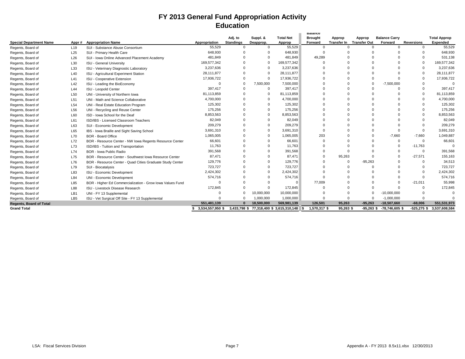## **FY 2013 General Fund Appropriation Activity Education**

| <b>Special Department Name</b> | Appr#           | <b>Appropriation Name</b>                                 | Appropriation    | Adj. to<br><b>Standings</b> | Suppl. &<br>Deapprop. | <b>Total Net</b><br>Approp  | Dalance<br><b>Brought</b><br>Forward | Approp<br><b>Transfer In</b> | Approp<br><b>Transfer Out</b> | <b>Balance Carry</b><br>Forward | <b>Reversions</b> | <b>Total Approp</b><br><b>Expended</b> |
|--------------------------------|-----------------|-----------------------------------------------------------|------------------|-----------------------------|-----------------------|-----------------------------|--------------------------------------|------------------------------|-------------------------------|---------------------------------|-------------------|----------------------------------------|
| Regents, Board of              | L <sub>19</sub> | SUI - Substance Abuse Consortium                          | 55,529           | $\mathbf 0$                 | $\Omega$              | 55,529                      | $\Omega$                             | $\Omega$                     | $\Omega$                      | $\Omega$                        | $\Omega$          | 55,529                                 |
| Regents, Board of              | L25             | SUI - Primary Health Care                                 | 648,930          |                             | $\Omega$              | 648,930                     | $\Omega$                             |                              | n                             |                                 |                   | 648,930                                |
| Regents, Board of              | L26             | SUI - Iowa Online Advanced Placement Academy              | 481,849          |                             |                       | 481.849                     | 49,289                               |                              |                               |                                 |                   | 531,138                                |
| Regents, Board of              | L30             | <b>ISU - General University</b>                           | 169,577,342      |                             | $\Omega$              | 169,577,342                 |                                      |                              |                               |                                 |                   | 169,577,342                            |
| Regents, Board of              | L33             | ISU - Veterinary Diagnostic Laboratory                    | 3,237,636        |                             | $\Omega$              | 3,237,636                   |                                      |                              |                               |                                 |                   | 3,237,636                              |
| Regents, Board of              | L40             | ISU - Agricultural Experiment Station                     | 28,111,877       |                             | $\Omega$              | 28,111,877                  |                                      |                              |                               |                                 |                   | 28,111,877                             |
| Regents, Board of              | L41             | <b>ISU - Cooperative Extension</b>                        | 17,936,722       |                             | $\Omega$              | 17,936,722                  |                                      |                              |                               |                                 |                   | 17,936,722                             |
| Regents, Board of              | L42             | ISU - Leading the BioEconomy                              | $\Omega$         | $\Omega$                    | 7,500,000             | 7,500,000                   |                                      |                              | $\Omega$                      | $-7,500,000$                    |                   |                                        |
| Regents, Board of              | L44             | <b>ISU - Leopold Center</b>                               | 397,417          | $\Omega$                    | $\Omega$              | 397,417                     |                                      |                              |                               |                                 |                   | 397,417                                |
| Regents, Board of              | L50             | UNI - University of Northern Iowa                         | 81,113,859       |                             | $\Omega$              | 81,113,859                  |                                      |                              |                               |                                 |                   | 81,113,859                             |
| Regents, Board of              | L <sub>51</sub> | UNI - Math and Science Collaborative                      | 4,700,000        |                             | $\Omega$              | 4,700,000                   |                                      |                              |                               |                                 |                   | 4,700,000                              |
| Regents, Board of              | L <sub>54</sub> | UNI - Real Estate Education Program                       | 125,302          |                             |                       | 125,302                     |                                      |                              |                               |                                 |                   | 125,302                                |
| Regents, Board of              | L56             | UNI - Recycling and Reuse Center                          | 175,256          |                             | $\Omega$              | 175,256                     |                                      |                              |                               |                                 |                   | 175,256                                |
| Regents, Board of              | L60             | ISD - Iowa School for the Deaf                            | 8,853,563        |                             | $\Omega$              | 8,853,563                   |                                      |                              |                               |                                 |                   | 8,853,563                              |
| Regents, Board of              | L61             | ISD/IBS - Licensed Classroom Teachers                     | 82,049           |                             |                       | 82,049                      |                                      |                              |                               |                                 |                   | 82,049                                 |
| Regents, Board of              | L63             | SUI - Economic Development                                | 209,279          |                             |                       | 209,279                     |                                      |                              |                               |                                 |                   | 209,279                                |
| Regents, Board of              | L65             | IBS - Iowa Braille and Sight Saving School                | 3,691,310        |                             |                       | 3,691,310                   |                                      |                              |                               |                                 |                   | 3,691,310                              |
| Regents, Board of              | L70             | <b>BOR - Board Office</b>                                 | 1,065,005        |                             | $\Omega$              | 1,065,005                   | 203                                  |                              |                               | $-7.660$                        | $-7.660$          | 1,049,887                              |
| Regents, Board of              | L72             | BOR - Resource Center - NW Iowa Regents Resource Center   | 66,601           |                             | $\Omega$              | 66,601                      | $\Omega$                             |                              |                               | $\Omega$                        | $\Omega$          | 66,601                                 |
| Regents, Board of              | L73             | ISD/IBS - Tuition and Transportation                      | 11,763           |                             |                       | 11.763                      |                                      |                              |                               |                                 | $-11,763$         |                                        |
| Regents, Board of              | L74             | BOR - Iowa Public Radio                                   | 391,568          |                             |                       | 391,568                     | $\Omega$                             |                              |                               |                                 | $\Omega$          | 391,568                                |
| Regents, Board of              | L75             | BOR - Resource Center - Southwest Iowa Resource Center    | 87,471           |                             |                       | 87,471                      | $\Omega$                             | 95,263                       |                               |                                 | $-27,571$         | 155,163                                |
| Regents, Board of              | L76             | BOR - Resource Center - Quad Cities Graduate Study Center | 129,776          |                             |                       | 129,776                     |                                      |                              | $-95,263$                     |                                 |                   | 34,513                                 |
| Regents, Board of              | L79             | SUI - Biocatalysis                                        | 723,727          |                             |                       | 723,727                     |                                      |                              |                               |                                 |                   | 723,727                                |
| Regents, Board of              | L83             | ISU - Economic Development                                | 2,424,302        |                             | $\Omega$              | 2,424,302                   |                                      |                              |                               |                                 |                   | 2,424,302                              |
| Regents, Board of              | L84             | UNI - Economic Development                                | 574,716          |                             |                       | 574,716                     |                                      |                              |                               |                                 |                   | 574,716                                |
| Regents, Board of              | L85             | BOR - Higher Ed Commercialization - Grow Iowa Values Fund | $\Omega$         |                             |                       | $\Omega$                    | 77,009                               |                              |                               |                                 | $-21,011$         | 55,998                                 |
| Regents, Board of              | L88             | ISU - Livestock Disease Research                          | 172,845          |                             | $\Omega$              | 172,845                     |                                      |                              |                               |                                 |                   | 172,845                                |
| Regents, Board of              | LB1             | UNI - FY 13 Supplemental                                  |                  | $\Omega$                    | 10,000,000            | 10,000,000                  |                                      |                              | O                             | $-10,000,000$                   |                   |                                        |
| Regents, Board of              | LB <sub>5</sub> | ISU - Vet Surgical Off Site - FY 13 Supplemental          | $\Omega$         | $\Omega$                    | 1.000.000             | 1,000,000                   | $\Omega$                             | $\Omega$                     | $\Omega$                      | $-1.000.000$                    |                   |                                        |
| <b>Regents, Board of Total</b> |                 |                                                           | 551,481,139      |                             | 18,500,000            | 569,981,139                 | 126,501                              | 95,263                       | $-95,263$                     | $-18,507,660$                   | $-68,006$         | 551,531,973                            |
| <b>Grand Total</b>             |                 |                                                           | 3,534,557,950 \$ | 3,433,798 \$                |                       | 77,318,400 \$ 3,615,310,148 | 1,570,317 \$                         | 95.263 \$                    | $-95.263$                     | $-78,746,605$ \$                | $-525,275$ \$     | 3,537,608,584                          |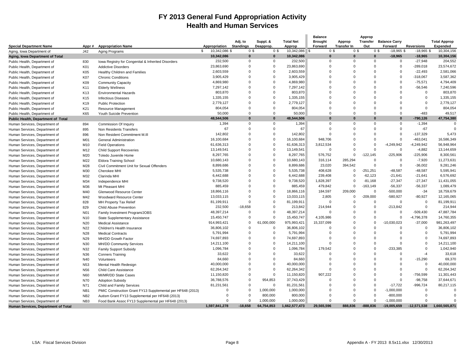### **FY 2013 General Fund Appropriation Activity Health and Human Services**

| <b>Special Department Name</b>      | Appr#            | <b>Appropriation Name</b>                                  | Appropriation       | Adj. to<br><b>Standings</b> | Suppl. &<br>Deapprop. | <b>Total Net</b><br>Approp | <b>Balance</b><br><b>Brought</b><br>Forward | Approp<br><b>Transfer In</b> | Approp<br>Out | <b>Transfer</b> Balance Carry<br>Forward | <b>Reversions</b> | <b>Total Approp</b><br><b>Expended</b> |
|-------------------------------------|------------------|------------------------------------------------------------|---------------------|-----------------------------|-----------------------|----------------------------|---------------------------------------------|------------------------------|---------------|------------------------------------------|-------------------|----------------------------------------|
| Aging, Iowa Department of           | J42              | Aging Programs                                             | 10,342,086 \$<br>\$ | 0 <sup>5</sup>              | 0 <sup>3</sup>        | 10,342,086 \$              | 0 <sup>5</sup>                              | 0 <sup>5</sup>               |               | $-18,965$ \$<br>0 <sup>3</sup>           | $-18,965$ \$      | 10,304,156                             |
| Aging, Iowa Department of Total     |                  |                                                            | 10,342,086          | $\bf{0}$                    | $\bf{0}$              | 10,342,086                 | $\bf{0}$                                    | $\bf{0}$                     | $\bf{0}$      | $-18,965$                                | $-18,965$         | 10,304,156                             |
| Public Health, Department of        | 830              | Iowa Registry for Congenital & Inherited Disorders         | 232,500             | $\mathbf{0}$                | $\Omega$              | 232,500                    | $\mathbf{0}$                                | $\Omega$                     | $\mathbf 0$   | $\mathbf 0$                              | $-27,948$         | 204,552                                |
| Public Health, Department of        | K01              | <b>Addictive Disorders</b>                                 | 23,863,690          | $\Omega$                    | $\Omega$              | 23,863,690                 | $\Omega$                                    | $\Omega$                     | $\Omega$      | $\mathbf 0$                              | $-289,018$        | 23,574,672                             |
| Public Health, Department of        | K05              | Healthy Children and Families                              | 2,603,559           | $\Omega$                    | $\Omega$              | 2,603,559                  | $\Omega$                                    | $\Omega$                     | $\Omega$      | $\Omega$                                 | $-22,493$         | 2,581,066                              |
| Public Health, Department of        | K07              | <b>Chronic Conditions</b>                                  | 3,905,429           | $\Omega$                    | $\Omega$              | 3,905,429                  | $\mathbf 0$                                 | $\Omega$                     | $\Omega$      | $\mathbf 0$                              | $-318,067$        | 3,587,362                              |
| Public Health, Department of        | K09              |                                                            | 4,869,980           | $\Omega$                    | $\Omega$              | 4,869,980                  | $\Omega$                                    | $\Omega$                     | $\Omega$      | $\Omega$                                 | $-75,571$         | 4,794,409                              |
|                                     | K11              | <b>Community Capacity</b>                                  | 7,297,142           | $\Omega$                    | $\Omega$              | 7,297,142                  | $\mathbf 0$                                 | $\Omega$                     | $\Omega$      | $\Omega$                                 | $-56,546$         | 7,240,596                              |
| Public Health, Department of        |                  | <b>Elderly Wellness</b>                                    | 803,870             | $\Omega$                    | $\Omega$              | 803,870                    | $\mathbf 0$                                 | $\mathbf 0$                  | $\Omega$      | $\Omega$                                 | $\mathbf 0$       | 803,870                                |
| Public Health, Department of        | K <sub>13</sub>  | <b>Environmental Hazards</b>                               | 1,335,155           | $\Omega$                    | $\Omega$              | 1,335,155                  | $\Omega$                                    | $\Omega$                     | $\Omega$      | $\Omega$                                 | $\mathbf{0}$      | 1,335,155                              |
| Public Health, Department of        | K <sub>15</sub>  | <b>Infectious Diseases</b>                                 |                     | $\Omega$                    | $\Omega$              |                            | $\Omega$                                    | $\Omega$                     | $\Omega$      | $\Omega$                                 | $\mathbf{0}$      |                                        |
| Public Health, Department of        | K19              | <b>Public Protection</b>                                   | 2,779,127           | $\Omega$                    | $\Omega$              | 2,779,127                  | $\Omega$                                    | $\Omega$                     | $\Omega$      | $\Omega$                                 |                   | 2,779,127                              |
| Public Health, Department of        | K21              | Resource Management                                        | 804,054             |                             |                       | 804,054                    |                                             |                              |               |                                          | $\mathbf 0$       | 804,054                                |
| Public Health, Department of        | K65              | Youth Suicide Prevention                                   | 50,000              | 0                           | $\mathbf 0$           | 50,000                     | $\overline{0}$                              | $\mathbf 0$                  | $\Omega$      | $\Omega$                                 | $-483$            | 49,517                                 |
| Public Health, Department of Total  |                  |                                                            | 48,544,506          | $\bf{0}$                    | $\mathbf{0}$          | 48,544,506                 | $\bf{0}$                                    | $\Omega$                     | $\Omega$      | $\bf{0}$                                 | $-790, 126$       | 47,754,380                             |
| Human Services, Department of       | 894              | Commission Of Inquiry                                      | 1,394               | $\mathbf 0$                 | $\mathbf 0$           | 1,394                      | $\mathbf 0$                                 | $\mathbf 0$                  | $\Omega$      | $\Omega$                                 | $-1,394$          | $\mathbf 0$                            |
| Human Services, Department of       | 895              | Non Residents Transfers                                    | 67                  | $\Omega$                    | $\Omega$              | 67                         | $\Omega$                                    | $\Omega$                     | $\Omega$      | $\Omega$                                 | $-67$             |                                        |
| Human Services, Department of       | 896              | Non Resident Commitment M.III                              | 142,802             | $\Omega$                    | $\Omega$              | 142,802                    | $\Omega$                                    | $\Omega$                     | $\Omega$      | $\Omega$                                 | $-137,329$        | 5,473                                  |
| Human Services, Department of       | M01              | <b>General Administration</b>                              | 16,100,684          | $\Omega$                    | $\Omega$              | 16,100,684                 | 948,706                                     | $\Omega$                     | $\Omega$      | $\Omega$                                 | $-463,041$        | 16,586,349                             |
| Human Services, Department of       | M10              | <b>Field Operations</b>                                    | 61,636,313          | $\mathbf 0$                 | $\mathbf 0$           | 61,636,313                 | 3,812,534                                   | $\mathbf 0$                  | $\mathbf 0$   | $-4,249,942$                             | $-4,249,942$      | 56,948,964                             |
| Human Services, Department of       | M12              | <b>Child Support Recoveries</b>                            | 13,149,541          | $\Omega$                    | $\Omega$              | 13,149,541                 | $\overline{0}$                              | $\mathbf 0$                  | $\Omega$      | $\mathbf 0$                              | $-4,882$          | 13,144,659                             |
| Human Services, Department of       | M20              | Toledo Juvenile Home                                       | 8,297,765           | $\Omega$                    | $\Omega$              | 8,297,765                  | 576,752                                     | $\mathbf 0$                  | $-122,145$    | $-225,906$                               | $-225,906$        | 8,300,561                              |
| Human Services, Department of       | M22              | <b>Eldora Training School</b>                              | 10,680,143          | $\Omega$                    | $\Omega$              | 10,680,143                 | 316,114                                     | 285,294                      | $\Omega$      | $\mathbf 0$                              | $-7,920$          | 11,273,631                             |
| Human Services, Department of       | M28              | Civil Commitment Unit for Sexual Offenders                 | 8,899,686           | $\Omega$                    | $\Omega$              | 8,899,686                  | 23,020                                      | 394,542                      | $\Omega$      | $\mathbf 0$                              | $-36,002$         | 9,281,246                              |
| Human Services, Department of       | M30              | Cherokee MHI                                               | 5,535,738           | $\Omega$                    | $\Omega$              | 5,535,738                  | 408,628                                     | $\Omega$                     | $-251,251$    | $-48,587$                                | $-48,587$         | 5,595,941                              |
| Human Services, Department of       | M32              | Clarinda MHI                                               | 6,442,688           | $\Omega$                    | $\Omega$              | 6,442,688                  | 239,408                                     | $\Omega$                     | $-62, 123$    | $-21,641$                                | $-21,641$         | 6,576,692                              |
| Human Services, Department of       | M34              | Independence MHI                                           | 9,738,520           | $\mathbf 0$                 | $\Omega$              | 9,738,520                  | 1,828,397                                   | $\overline{0}$               | $-81,168$     | $-27,347$                                | $-27,347$         | 11,431,055                             |
| Human Services, Department of       | M36              | Mt Pleasant MHI                                            | 885,459             | $\Omega$                    | $\Omega$              | 885,459                    | 479,842                                     | $\mathbf 0$                  | $-163, 149$   | $-56,337$                                | $-56,337$         | 1,089,479                              |
| Human Services, Department of       | M40              | Glenwood Resource Center                                   | 18,866,116          | $\Omega$                    | $\Omega$              | 18,866,116                 | 184,597                                     | 209,000                      | $\mathbf 0$   | $-500,000$                               | $-34$             | 18,759,679                             |
| Human Services, Department of       | M42              | <b>Woodward Resource Center</b>                            | 13,033,115          | $\Omega$                    | $\Omega$              | 13,033,115                 | 2,805                                       | $\Omega$                     | $-209,000$    | $-580,927$                               | $-80,927$         | 12,165,065                             |
| Human Services, Department of       | 828              | MH Property Tax Relief                                     | 81,199,911          | $\Omega$                    | $\Omega$              | 81,199,911                 | $\Omega$                                    | $\Omega$                     | $\Omega$      | $\Omega$                                 | $\mathbf{0}$      | 81,199,911                             |
| Human Services, Department of       | 829              | Child Abuse Prevention                                     | 232,500             | $-18,658$                   | $\Omega$              | 213,842                    | 214,944                                     | $\overline{0}$               | $\Omega$      | $-213.842$                               | $\mathbf 0$       | 214,944                                |
| Human Services, Department of       | N <sub>0</sub> 1 | Family Investment Program/JOBS                             | 48,397,214          | $\Omega$                    | $\Omega$              | 48,397,214                 | $\Omega$                                    | $\Omega$                     | $\Omega$      | $\Omega$                                 | $-509.430$        | 47,887,784                             |
| Human Services, Department of       | N <sub>10</sub>  | State Supplementary Assistance                             | 15,450,747          | $\mathbf 0$                 | $\mathbf 0$           | 15,450,747                 | 4,105,986                                   | $\mathbf 0$                  | $\mathbf 0$   | $\mathbf 0$                              | -4,796,378        | 14,760,355                             |
| Human Services, Department of       | N20              | <b>Medical Assistance</b>                                  | 914,993,421         | 0                           | 61,000,000            | 975,993,421                | 15,337,099                                  | $\mathbf 0$                  | $\Omega$      | $-10,030,023$                            | $-37,000$         | 981,263,497                            |
| Human Services, Department of       | N22              | Children's Health Insurance                                | 36,806,102          | $\Omega$                    | $\mathbf 0$           | 36,806,102                 | $\mathbf 0$                                 | $\Omega$                     | $\Omega$      | $\Omega$                                 | $\mathbf 0$       | 36,806,102                             |
| Human Services, Department of       | N28              | <b>Medical Contracts</b>                                   | 5,791,994           | $\Omega$                    | $\Omega$              | 5,791,994                  | $\overline{0}$                              | $\mathbf 0$                  | $\Omega$      | $\mathbf 0$                              | $\mathbf 0$       | 5,791,994                              |
| Human Services, Department of       | N29              | MH/DD Growth Factor                                        | 74,697,893          | $\Omega$                    | $\Omega$              | 74,697,893                 | $\Omega$                                    | $\Omega$                     | $\Omega$      | $\Omega$                                 | $\Omega$          | 74,697,893                             |
| Human Services, Department of       | N30              | MH/DD Community Services                                   | 14,211,100          | $\Omega$                    | $\Omega$              | 14,211,100                 | $\Omega$                                    | $\Omega$                     | $\Omega$      | $\Omega$                                 | $\mathbf{0}$      | 14,211,100                             |
| Human Services, Department of       | N32              | <b>Family Support Subsidy</b>                              | 1,096,784           | $\Omega$                    | $\Omega$              | 1,096,784                  | 179,542                                     | $\Omega$                     | $\Omega$      | $-233,385$                               | $\Omega$          | 1,042,940                              |
|                                     | N36              |                                                            | 33,622              | $\Omega$                    | $\Omega$              | 33,622                     | $\Omega$                                    | $\Omega$                     | $\Omega$      | $\Omega$                                 | $-4$              | 33,618                                 |
| Human Services, Department of       |                  | <b>Conners Training</b>                                    | 84,660              | $\mathbf 0$                 | $\mathbf 0$           | 84,660                     | $\overline{0}$                              | $\mathbf 0$                  | $\Omega$      | $\mathbf 0$                              | $-15,290$         | 69,370                                 |
| Human Services, Department of       | N40              | Volunteers                                                 | 40,000,000          | $\Omega$                    | $\Omega$              | 40,000,000                 | $\Omega$                                    | $\Omega$                     | $\Omega$      | $\Omega$                                 | $\mathbf 0$       | 40,000,000                             |
| Human Services, Department of       | N <sub>53</sub>  | Mental Health Redesign                                     |                     | $\Omega$                    | $\Omega$              |                            | $\Omega$                                    | $\Omega$                     | $\Omega$      | $\Omega$                                 | $\Omega$          |                                        |
| Human Services, Department of       | N <sub>56</sub>  | <b>Child Care Assistance</b>                               | 62,264,342          | $\Omega$                    |                       | 62,264,342                 |                                             | $\Omega$                     | $\Omega$      | $\Omega$                                 |                   | 62,264,342                             |
| Human Services, Department of       | <b>N60</b>       | MI/MR/DD State Cases                                       | 11,150,820          |                             | $\mathbf 0$           | 11,150,820                 | 907,222                                     |                              |               |                                          | -756,599          | 11,301,443                             |
| Human Services, Department of       | N70              | <b>Adoption Subsidy</b>                                    | 36,788,576          | $\Omega$                    | 954,853               | 37,743,429                 | $\Omega$                                    | $\Omega$                     | $\Omega$      | $\Omega$                                 | $-98,758$         | 37,644,671                             |
| Human Services, Department of       | N71              | Child and Family Services                                  | 81,231,561          | $\Omega$                    | $\mathbf 0$           | 81,231,561                 | $\Omega$                                    | $\Omega$                     | $\mathbf 0$   | $-17,722$                                | $-996,724$        | 80,217,115                             |
| Human Services, Department of       | NB <sub>1</sub>  | PMIC Construction Grant FY13 Supplemental per HF648 (2013) | $\mathbf 0$         | $\mathbf 0$                 | 1,000,000             | 1,000,000                  | $\overline{0}$                              | $\mathbf 0$                  | $\mathbf 0$   | $-1,000,000$                             | $\mathbf 0$       | $\mathbf 0$                            |
| Human Services, Department of       | NB <sub>2</sub>  | Autism Grant FY13 Supplemental per HF648 (2013)            | $\mathbf 0$         | $\mathbf 0$                 | 800,000               | 800,000                    | $\Omega$                                    | $\mathbf 0$                  | $\mathbf 0$   | $-800,000$                               | $\overline{0}$    |                                        |
| Human Services, Department of       | NB <sub>3</sub>  | Food Bank Assoc FY13 Supplemental per HF648 (2013)         | $\Omega$            | $\Omega$                    | 1,000,000             | 1,000,000                  | $\Omega$                                    | $\Omega$                     | $\mathbf 0$   | $-1,000,000$                             | $\Omega$          | $\Omega$                               |
| Human Services, Department of Total |                  |                                                            | 1,597,841,278       | $-18,658$                   | 64,754,853            | 1,662,577,473              | 29,565,596                                  | 888,836                      | $-888,836$    | $-19,005,659$                            | $-12,571,538$     | 1,660,565,871                          |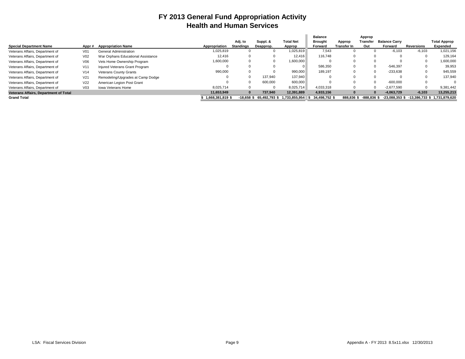### **FY 2013 General Fund Appropriation Activity Health and Human Services**

|                                              |                 |                                    |                  |                  |               |                  | <b>Balance</b> |             | Approp                 |                      |                   |                                             |
|----------------------------------------------|-----------------|------------------------------------|------------------|------------------|---------------|------------------|----------------|-------------|------------------------|----------------------|-------------------|---------------------------------------------|
|                                              |                 |                                    |                  | Adj. to          | Suppl. &      | <b>Total Net</b> | <b>Brought</b> | Approp      | Transfer               | <b>Balance Carry</b> |                   | <b>Total Approp</b>                         |
| <b>Special Department Name</b>               | Appr#           | <b>Appropriation Name</b>          | Appropriation    | <b>Standings</b> | Deapprop.     | Approp           | Forward        | Transfer In | Out                    | Forward              | <b>Reversions</b> | Expended                                    |
| Veterans Affairs, Department of              | V <sub>01</sub> | General Administration             | 1,025,819        |                  | $\Omega$      | 1,025,819        | 7.543          |             |                        | $-6,103$             | $-6.103$          | 1,021,156                                   |
| Veterans Affairs, Department of              | V <sub>02</sub> | War Orphans Educational Assistance | 12.416           | 0                | 0             | 12.416           | 116.748        | $\Omega$    |                        |                      |                   | 129,164                                     |
| Veterans Affairs, Department of              | V06             | Vets Home Ownership Program        | 1,600,000        |                  | 0             | 1,600,000        |                |             |                        |                      |                   | 1,600,000                                   |
| Veterans Affairs, Department of              | V <sub>11</sub> | Injured Veterans Grant Program     |                  |                  | 0             |                  | 586,350        | $\Omega$    |                        | $-546.397$           |                   | 39,953                                      |
| Veterans Affairs, Department of              | V14             | <b>Veterans County Grants</b>      | 990,000          |                  | $\Omega$      | 990,000          | 189.197        |             |                        | $-233,638$           |                   | 945,559                                     |
| Veterans Affairs, Department of              | V <sub>21</sub> | Remodeling/Upgrades at Camp Dodge  |                  |                  | 137.940       | 137.940          |                |             |                        |                      |                   | 137.940                                     |
| Veterans Affairs, Department of              | V <sub>22</sub> | American Legion Post Grant         |                  |                  | 600,000       | 600.000          |                | $\Omega$    |                        | $-600.000$           |                   |                                             |
| Veterans Affairs, Department of              | V <sub>03</sub> | <b>Iowa Veterans Home</b>          | 8.025.714        |                  | $\Omega$      | 8.025.714        | 4.033.318      |             |                        | $-2.677.590$         |                   | 9.381.442                                   |
| <b>Veterans Affairs, Department of Total</b> |                 |                                    | 11,653,949       |                  | 737.940       | 12,391,889       | 4,933,156      |             | $\Omega$               | $-4.063.729$         | $-6.103$          | 13.255.213                                  |
| <b>Grand Total</b>                           |                 |                                    | 1.668.381.819 \$ | -18.658 \$       | 65.492.793 \$ | 1.733.855.954    | 34.498.752 \$  |             | 888.836 \$ -888.836 \$ |                      |                   | -23.088.353 \$ -13.386.733 \$ 1.731.879.620 |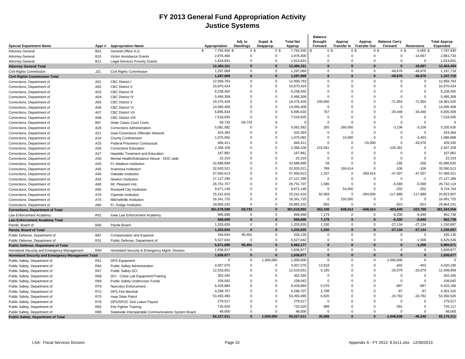### **FY 2013 General Fund Appropriation Activity Justice Systems**

|                                                                 |                          |                                                     | Appropriation      | Adj. to<br><b>Standings</b> | Suppl. &<br>Deapprop. | <b>Total Net</b>    | <b>Balance</b><br><b>Brought</b><br>Forward | Approp       | Approp<br>Transfer In Transfer Out | <b>Balance Carry</b><br>Forward  | <b>Reversions</b>       | <b>Total Approp</b><br>Expended |
|-----------------------------------------------------------------|--------------------------|-----------------------------------------------------|--------------------|-----------------------------|-----------------------|---------------------|---------------------------------------------|--------------|------------------------------------|----------------------------------|-------------------------|---------------------------------|
| <b>Special Department Name</b>                                  | Appr#                    | <b>Appropriation Name</b><br>General Office A.G.    | \$<br>7,792,930 \$ | 0 <sup>5</sup>              | 0 <sup>5</sup>        | Approp<br>7,792,930 | 0 <sup>5</sup>                              |              | 0\$                                | 0 <sup>3</sup><br>0 <sup>3</sup> | $-5,000$ \$             | 7,787,930                       |
| <b>Attorney General</b>                                         | <b>B01</b>               |                                                     | 2,876,400          | 0                           | 0                     | 2,876,400           | 0                                           | 0            | 0                                  | 0                                | $-14,667$               | 2,861,733                       |
| <b>Attorney General</b>                                         | <b>B10</b><br><b>B11</b> | Victim Assistance Grants                            | 1,814,831          | $\mathbf 0$                 | $\mathbf 0$           | 1,814,831           | $\mathbf 0$                                 | $\mathbf 0$  | $\Omega$                           | $\Omega$                         | $\overline{0}$          | 1,814,831                       |
| <b>Attorney General</b>                                         |                          | <b>Legal Services Poverty Grants</b>                | 12,484,161         | $\Omega$                    | $\bf{0}$              | 12,484,161          | $\Omega$                                    | $\Omega$     | $\Omega$                           | $\Omega$                         | $-19,667$               | 12,464,494                      |
| <b>Attorney General Total</b>                                   |                          |                                                     | 1,297,069          | $\mathbf 0$                 | $\Omega$              | 1,297,069           | $\mathbf 0$                                 | $\mathbf 0$  | $\mathbf{0}$                       | $-49,676$                        | $-49,676$               | 1,197,718                       |
| Civil Rights Commission<br><b>Civil Rights Commission Total</b> | J21                      | Civil Rights Commission                             | 1,297,069          | $\bf{0}$                    | $\bf{0}$              | 1,297,069           | $\bf{0}$                                    | $\bf{0}$     | $\bf{0}$                           | -49,676                          | $-49,676$               | 1,197,718                       |
| Corrections, Department of                                      | A01                      | <b>CBC District</b>                                 | 12,958,763         | $\mathbf 0$                 | $\mathbf 0$           | 12,958,763          | $\Omega$                                    | $\Omega$     | $\mathbf{0}$                       | $\mathbf 0$                      | $\overline{0}$          | 12,958,763                      |
|                                                                 | A02                      | <b>CBC District II</b>                              | 10,870,424         | 0                           | $\mathbf 0$           | 10,870,424          | $\Omega$                                    | $\mathbf{0}$ | $\Omega$                           | $\mathbf 0$                      | $\mathbf 0$             | 10,870,424                      |
| Corrections, Department of                                      |                          |                                                     | 6,238,455          | $\mathbf 0$                 | $\mathbf 0$           | 6,238,455           | $\Omega$                                    | $\Omega$     | $\Omega$                           | $\Omega$                         | $\mathbf 0$             | 6,238,455                       |
| Corrections, Department of                                      | A03                      | <b>CBC District III</b>                             | 5,495,309          | $\mathbf 0$                 | $\mathbf 0$           | 5,495,309           | $\mathbf 0$                                 | $\Omega$     | $\mathbf 0$                        | $\Omega$                         | $\mathbf 0$             | 5,495,309                       |
| Corrections, Department of                                      | A04                      | <b>CBC District IV</b>                              | 19,375,428         | $\mathbf 0$                 | $\mathbf 0$           | 19,375,428          | 150,000                                     | 0            | $\mathbf 0$                        | $-71,954$                        | $-71,954$               | 19,381,520                      |
| Corrections, Department of                                      | A05                      | <b>CBC District V</b>                               | 14,095,408         | $\Omega$                    | $\mathbf 0$           | 14,095,408          | $\mathbf 0$                                 | $\Omega$     | $\Omega$                           | $\mathbf 0$                      | $\overline{0}$          | 14,095,408                      |
| Corrections, Department of                                      | A06                      | <b>CBC District VI</b>                              | 6,895,634          | $\Omega$                    | $\Omega$              | 6,895,634           | 767                                         | $\Omega$     | $\Omega$                           | $-30,446$                        | $-30,446$               | 6,835,509                       |
| Corrections, Department of                                      | A07                      | <b>CBC District VII</b>                             | 7,518,935          | $\Omega$                    | $\Omega$              | 7,518,935           | $\mathbf 0$                                 | $\Omega$     | $\Omega$                           | $\Omega$                         | $\overline{0}$          | 7,518,935                       |
| Corrections, Department of                                      | A08                      | <b>CBC District VIII</b>                            | 59,733             | $-59,733$                   | $\Omega$              | $\Omega$            | $\Omega$                                    | $\Omega$     | $\Omega$                           | $\Omega$                         | $\overline{0}$          | $\Omega$                        |
| Corrections, Department of                                      | 897                      | State Cases Court Costs                             |                    | $\mathbf 0$                 | $\mathbf 0$           |                     | 265                                         | 260,000      | $\mathbf 0$                        |                                  | $-3,106$                |                                 |
| Corrections, Department of                                      | A20                      | <b>Corrections Administration</b>                   | 5,081,582          | $\Omega$                    | $\Omega$              | 5,081,582           |                                             |              | $\Omega$                           | $-3,106$                         |                         | 5,335,635                       |
| Corrections, Department of                                      | A21                      | Iowa Corrections Offender Network                   | 424,364            | $\Omega$                    |                       | 424,364             | $\mathbf 0$                                 | $\Omega$     | $\Omega$                           | $\Omega$<br>$\Omega$             | $\overline{0}$          | 424,364                         |
| Corrections, Department of                                      | A24                      | <b>County Confinement</b>                           | 1,075,092          |                             | $\mathbf 0$           | 1,075,092           | $\mathbf 0$                                 | 15,000       |                                    |                                  | $-3,403$                | 1,086,689                       |
| Corrections, Department of                                      | A25                      | Federal Prisoners/ Contractual                      | 484,411            | 0                           | $\mathbf 0$           | 484,411             | $\mathbf 0$                                 | $\mathbf 0$  | $-15,000$                          | $\mathbf 0$                      | $-43,076$               | 426,335                         |
| Corrections, Department of                                      | A26                      | <b>Corrections Education</b>                        | 2,358,109          | $\mathbf 0$                 | $\mathbf 0$           | 2,358,109           | 215,581                                     | $\Omega$     | $\mathbf 0$                        | $-126,361$                       | $\Omega$                | 2,447,328                       |
| Corrections, Department of                                      | A27                      | <b>Hepatitis Treatment and Education</b>            | 167,881            | $\Omega$                    | $\mathbf 0$           | 167,881             | 0                                           | $\Omega$     | $\Omega$                           | $\Omega$                         | $\mathbf 0$             | 167,881                         |
| Corrections, Department of                                      | A30                      | Mental Health/Substance Abuse - DOC wide            | 22,319             | $\Omega$                    | $\Omega$              | 22,319              | $\Omega$                                    | $\Omega$     | $\Omega$                           | $\Omega$                         | $\mathbf 0$             | 22,319                          |
| Corrections, Department of                                      | A40                      | Ft. Madison Institution                             | 42,686,899         | $\Omega$                    | $\Omega$              | 42,686,899          | 59                                          | $\Omega$     | $\Omega$                           | $-166$                           | $-166$                  | 42,686,625                      |
| Corrections, Department of                                      | A45                      | Anamosa Institution                                 | 32,920,521         | $\Omega$                    | $\Omega$              | 32,920,521          | 789                                         | 169,414      | $\Omega$                           | $-106$                           | $-106$                  | 33,090,513                      |
| Corrections, Department of                                      | A50                      | Oakdale Institution                                 | 57,950,613         | $\Omega$                    | $\Omega$              | 57,950,613          | 1,337                                       | $\mathbf 0$  | $-369,414$                         | $-47,007$                        | $-47,007$               | 57,488,52                       |
| Corrections, Department of                                      | A55                      | Newton Institution                                  | 27,127,290         | $\mathbf 0$                 | $\mathbf 0$           | 27,127,290          | $\mathbf 0$                                 | $\Omega$     | $\Omega$                           | $\overline{0}$                   | $-1$                    | 27,127,289                      |
| Corrections, Department of                                      | A60                      | Mt. Pleasant Inst.                                  | 26,751,707         | $\Omega$                    | $\mathbf 0$           | 26,751,707          | 1,586                                       | $\mathbf 0$  | $\Omega$                           | $-5,589$                         | $-5,589$                | 26,742,116                      |
| Corrections, Department of                                      | A65                      | Rockwell City Institution                           | 9,671,148          | $\Omega$                    | $\Omega$              | 9,671,148           | $\mathbf 0$                                 | 54,000       | $\Omega$                           | $-202$                           | $-202$                  | 9,724,744                       |
| Corrections, Department of                                      | A70                      | Clarinda Institution                                | 25,241,616         | $\mathbf 0$                 | $\mathbf 0$           | 25,241,616          | 82,069                                      | $\mathbf 0$  | $-264,000$                         | $-117,889$                       | $-117,889$              | 24,823,907                      |
| Corrections, Department of                                      | A75                      | Mitchellville Institution                           | 16,341,725         | $\Omega$                    | $\mathbf 0$           | 16,341,725          | $\mathbf 0$                                 | 150,000      | $\mathbf 0$                        | $\mathbf{0}$                     | $\overline{\mathbf{0}}$ | 16,491,725                      |
| Corrections, Department of                                      | A80                      | Ft. Dodge Institution                               | 29,865,232         | $\mathbf 0$                 | $\Omega$              | 29,865,232          | 655                                         | $\mathbf 0$  | $\Omega$                           | $-823$                           | $-823$                  | 29,864,24                       |
| <b>Corrections, Department of Total</b>                         |                          |                                                     | 361,678,598        | $-59,733$                   | $\bf{0}$              | 361,618,865         | 453,108                                     | 648,414      | $-648,414$                         | $-403,649$                       | $-323,768$              | 361,344,556                     |
| Law Enforcement Academy                                         | <b>R01</b>               | Iowa Law Enforcement Academy                        | 968,698            | $\mathbf 0$                 | $\mathbf 0$           | 968,698             | 7,179                                       | $\mathbf 0$  | $\mathbf{0}$                       | $-6.200$                         | $-6.940$                | 962,738                         |
| Law Enforcement Academy Total                                   |                          |                                                     | 968,698            | $\bf{0}$                    | $\bf{0}$              | 968,698             | 7,179                                       | $\bf{0}$     | $\bf{0}$                           | $-6.200$                         | $-6.940$                | 962,738                         |
| Parole, Board of                                                | <b>B40</b>               | Parole Board                                        | 1,203,835          | $\mathbf 0$                 | $\Omega$              | 1,203,835           | 1,330                                       | $\mathbf 0$  | $\mathbf 0$                        | $-27,134$                        | $-27,134$               | 1,150,897                       |
| Parole, Board of Total                                          |                          |                                                     | 1,203,835          | $\bf{0}$                    | $\bf{0}$              | 1,203,835           | 1,330                                       | $\bf{0}$     | $\bf{0}$                           | $-27,134$                        | $-27,134$               | 1,150,897                       |
| Public Defense, Department of                                   | 883                      | Compensation and Expense                            | 344,644            | 90,491                      | $\mathbf 0$           | 435,135             | $\mathbf 0$                                 | $\Omega$     | 0                                  | $\mathbf 0$                      | $\overline{0}$          | 435,135                         |
| Public Defense, Department of                                   | R31                      | Public Defense, Department of                       | 5,527,042          | $\Omega$                    | $\Omega$              | 5,527,042           | $\Omega$                                    | $\Omega$     | $\Omega$                           | $\Omega$                         | $-1,506$                | 5,525,536                       |
| <b>Public Defense, Department of Total</b>                      |                          |                                                     | 5,871,686          | 90,491                      | $\mathbf{0}$          | 5,962,177           | $\Omega$                                    | $\Omega$     | $\Omega$                           | $\Omega$                         | $-1,506$                | 5,960,671                       |
| Homeland Security and Emergency Management                      | R40                      | Homeland Security & Emergency Mgmt. Division        | 1,836,877          | $\mathbf 0$                 | $\Omega$              | 1,836,877           | 0                                           | $\Omega$     | $\Omega$                           | $\Omega$                         | $\mathbf 0$             | 1,836,877                       |
| <b>Homeland Security and Emergency Management Total</b>         |                          |                                                     | 1.836.877          | $\mathbf{0}$                | $\bf{0}$              | 1,836,877           | $\bf{0}$                                    | $\Omega$     | $\bf{0}$                           | $\mathbf{0}$                     | $\bf{0}$                | 1,836,877                       |
| Public Safety, Department of                                    | R61                      | <b>DPS Equipment</b>                                | $\Omega$           | $\mathbf 0$                 | 1,000,000             | 1,000,000           | $\mathbf 0$                                 | $\mathbf 0$  | $\Omega$                           | $-1,000,000$                     | $\overline{0}$          | $\mathbf{0}$                    |
| Public Safety, Department of                                    | <b>R64</b>               | Public Safety Administration                        | 4,007,075          | $\Omega$                    | $\mathbf 0$           | 4,007,075           | 13,918                                      | $\Omega$     | $\Omega$                           | $-402$                           | $-402$                  | 4,020,190                       |
| Public Safety, Department of                                    | R67                      | Public Safety DCI                                   | 12,533,931         | 0                           | $\mathbf 0$           | 12,533,931          | 6,185                                       | $\Omega$     | $\Omega$                           | $-20.079$                        | $-20,079$               | 12,499,959                      |
| Public Safety, Department of                                    | <b>R68</b>               | DCI - Crime Lab Equipment/Training                  | 302,345            | $\mathbf 0$                 | $\mathbf 0$           | 302,345             | $\mathbf 0$                                 | $\Omega$     | $\Omega$                           | $\Omega$                         | $\overline{0}$          | 302,345                         |
| Public Safety, Department of                                    | <b>R69</b>               | Public Safety Undercover Funds                      | 109,042            | $\mathbf 0$                 | $\mathbf 0$           | 109,042             | $\mathbf 0$                                 | $\Omega$     | 0                                  | $\mathbf 0$                      | $\mathbf 0$             | 109,042                         |
| Public Safety, Department of                                    | R70                      | Narcotics Enforcement                               | 6,429,884          | $\mathbf 0$                 | $\mathbf 0$           | 6,429,884           | 5,076                                       | $\Omega$     | $\mathbf 0$                        | $-887$                           | $-887$                  | 6,433,186                       |
| Public Safety, Department of                                    | R72                      | <b>DPS Fire Marshal</b>                             | 4,298,707          | $\Omega$                    | $\mathbf 0$           | 4,298,707           | 2,798                                       | $\Omega$     | $\mathbf 0$                        | $-97$                            | $-97$                   | 4,301,310                       |
| Public Safety, Department of                                    | <b>R75</b>               | Iowa State Patrol                                   | 53,493,490         | $\Omega$                    | $\Omega$              | 53,493,490          | 6,620                                       | $\Omega$     | $\Omega$                           | $-24,782$                        | $-24,782$               | 53,450,545                      |
| Public Safety, Department of                                    | <b>R76</b>               | DPS/SPOC Sick Leave Payout                          | 279,517            | $\Omega$                    | $\Omega$              | 279,517             | $\mathbf 0$                                 | $\Omega$     | $\Omega$                           | $\mathbf 0$                      | $\Omega$                | 279,517                         |
| Public Safety, Department of                                    | R82                      | Fire Fighter Training                               | 725,520            | $\Omega$                    | $\Omega$              | 725,520             | 988                                         | $\Omega$     | $\Omega$                           | $-391$                           | $\Omega$                | 726,117                         |
| Public Safety, Department of                                    | <b>R85</b>               | Statewide Interoperable Communications System Board | 48.000             | $\mathbf 0$                 | $\Omega$              | 48.000              | $\Omega$                                    | $\Omega$     | $\Omega$                           | $\Omega$                         | $\Omega$                | 48,000                          |
| <b>Public Safety, Department of Total</b>                       |                          |                                                     | 82.227.511         | $\Omega$                    | 1.000.000             | 83,227,511          | 35.586                                      | $\Omega$     | $\bf{0}$                           | $-1.046.638$                     | $-46.248$               | 82,170,211                      |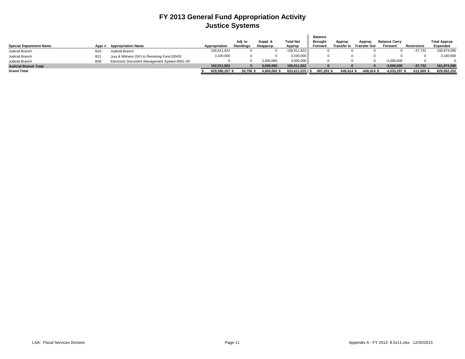### **FY 2013 General Fund Appropriation Activity Justice Systems**

|                                |            |                                               |               | Adj. to          | Suppl. &     | <b>Total Net</b> | <b>Balance</b><br><b>Brought</b> | Approp     | Approp                          | <b>Balance Carry</b> |            | <b>Total Approp</b> |
|--------------------------------|------------|-----------------------------------------------|---------------|------------------|--------------|------------------|----------------------------------|------------|---------------------------------|----------------------|------------|---------------------|
| <b>Special Department Name</b> | Appr#      | <b>Appropriation Name</b>                     | Appropriation | <b>Standings</b> | Deapprop.    | Approp           | Forward                          |            | <b>Transfer In Transfer Out</b> | Forward              | Reversions | Expended            |
| Judicial Branch                | <b>B20</b> | Judicial Branch                               | 158,911,822   |                  |              | 158,911,822      |                                  |            |                                 |                      | $-37,732$  | 158,874,090         |
| Judicial Branch                | <b>B21</b> | Jury & Witness (GF) to Revolving Fund (0043)  | 3,100,000     |                  |              | 3,100,000        |                                  |            |                                 |                      |            | 3,100,000           |
| Judicial Branch                | <b>B30</b> | Electronic Document Management System-0001-GF |               |                  | 3,000,000    | 3,000,000        |                                  |            |                                 | $-3,000,000$         |            |                     |
| <b>Judicial Branch Total</b>   |            |                                               | 162.011.822   |                  | 3.000.000    | 165.011.822      |                                  |            |                                 | $-3,000,000$         | $-37.732$  | 161,974,090         |
| <b>Grand Total</b>             |            |                                               | 629,580,257\$ | 30.758           | 4.000.000 \$ | 633,611,015      | 497.203 \$                       | 648.414 \$ | $-648.414$ \$                   | -4,533,297           | $-512.669$ | 629,062,252         |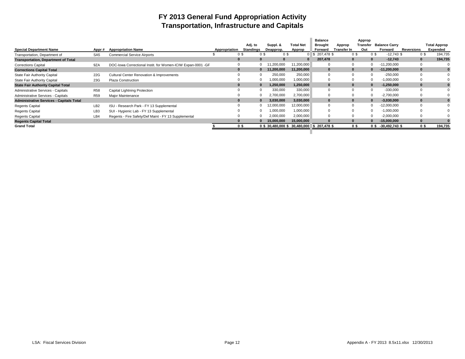### **FY 2013 General Fund Appropriation Activity Transportation, Infrastructure and Capitals**

|                                                 |                 |                                                             |               |                |                                          |                  | <b>Balance</b> |              | Approp         |                                |              |                     |
|-------------------------------------------------|-----------------|-------------------------------------------------------------|---------------|----------------|------------------------------------------|------------------|----------------|--------------|----------------|--------------------------------|--------------|---------------------|
|                                                 |                 |                                                             |               | Adj. to        | Suppl. &                                 | <b>Total Net</b> | <b>Brought</b> | Approp       |                | <b>Transfer</b> Balance Carry  |              | <b>Total Approp</b> |
| <b>Special Department Name</b>                  | Appr#           | <b>Appropriation Name</b>                                   | Appropriation | Standings      | Deapprop.                                | Approp           | Forward        | Transfer In  | Out            | Forward                        | Reversions   | Expended            |
| Transportation, Department of                   | SA <sub>5</sub> | <b>Commercial Service Airports</b>                          | 0S            | 0 <sup>3</sup> | 0\$                                      | $\Omega$         | \$207,478      | 0\$          | 0 <sup>5</sup> | $-12,743$ \$                   | 0S           | 194,735             |
| <b>Transportation, Department of Total</b>      |                 |                                                             | $\bf{0}$      | $\Omega$       | $\bf{0}$                                 |                  | 207,478        | $\mathbf{0}$ |                | $-12.743$                      | $\mathbf{0}$ | 194,735             |
| <b>Corrections Capital</b>                      | 9ZA             | DOC-lowa Correctional Instit. for Women-ICIW Expan-0001 -GF | 0             | $\Omega$       | 1,200,000                                | 11,200,000       |                | $\Omega$     | $\Omega$       | $-11,200,000$                  | 0            |                     |
| <b>Corrections Capital Total</b>                |                 |                                                             | $\bf{0}$      | $\bf{0}$       | 11,200,000                               | 11,200,000       | $\bf{0}$       | $\mathbf{0}$ | $\Omega$       | $-11,200,000$                  | $\bf{0}$     |                     |
| State Fair Authority Capital                    | 22G             | <b>Cultural Center Renovation &amp; Improvements</b>        |               | $\Omega$       | 250,000                                  | 250,000          | 0              |              | $\Omega$       | $-250,000$                     | $\Omega$     |                     |
| State Fair Authority Capital                    | 23G             | <b>Plaza Construction</b>                                   |               | $\Omega$       | ,000,000                                 | 1,000,000        | 0              |              | $\Omega$       | $-1,000,000$                   | $\Omega$     |                     |
| <b>State Fair Authority Capital Total</b>       |                 |                                                             | $\bf{0}$      | $\bf{0}$       | 1,250,000                                | 1,250,000        | $\bf{0}$       | $\bf{0}$     | $\bf{0}$       | $-1,250,000$                   | $\bf{0}$     |                     |
| Administrative Services - Capitals              | <b>R58</b>      | Capital Lightning Protection                                |               | $\Omega$       | 330,000                                  | 330,000          | $\Omega$       |              | $\Omega$       | $-330.000$                     | $\Omega$     |                     |
| Administrative Services - Capitals              | <b>R59</b>      | Major Maintenance                                           |               |                | 2,700,000                                | 2,700,000        | 0              |              | $\Omega$       | $-2,700,000$                   | $\Omega$     |                     |
| <b>Administrative Services - Capitals Total</b> |                 |                                                             | $\bf{0}$      | $\Omega$       | 3,030,000                                | 3,030,000        | $\bf{0}$       | $\mathbf{0}$ | $\Omega$       | $-3,030,000$                   | $\mathbf{0}$ |                     |
| <b>Regents Capital</b>                          | LB <sub>2</sub> | ISU - Research Park - FY 13 Supplemental                    |               | $\Omega$       | 12,000,000                               | 12,000,000       | $\Omega$       |              | $\Omega$       | $-12,000,000$                  | $\Omega$     |                     |
| <b>Regents Capital</b>                          | LB <sub>3</sub> | SUI - Hygienic Lab - FY 13 Supplemental                     |               | $\Omega$       | ,000,000                                 | 1,000,000        |                |              | $\Omega$       | $-1,000,000$                   | $\Omega$     |                     |
| <b>Regents Capital</b>                          | LB4             | Regents - Fire Safety/Def Maint - FY 13 Supplemental        |               |                | 2,000,000                                | 2,000,000        |                |              |                | $-2,000,000$                   | $\Omega$     |                     |
| <b>Regents Capital Total</b>                    |                 |                                                             | $\Omega$      |                | 15,000,000                               | 15,000,000       |                | $\Omega$     |                | $-15,000,000$                  | $\Omega$     |                     |
| <b>Grand Total</b>                              |                 |                                                             | 0 S           |                | 0 \$30,480,000 \$30,480,000 \$207,478 \$ |                  |                | 0\$          |                | $0 \text{ }$ \$ -30,492,743 \$ | 0\$          | 194,735             |
|                                                 |                 |                                                             |               |                |                                          |                  |                |              |                |                                |              |                     |